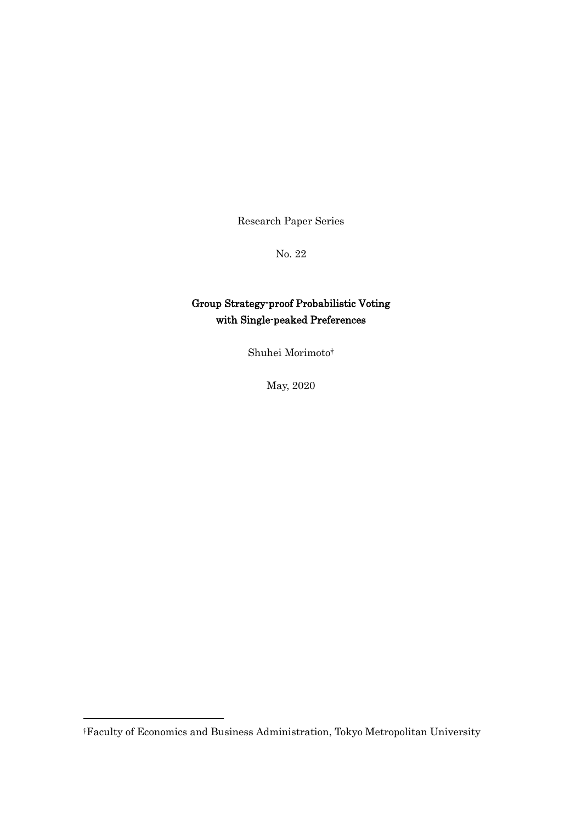Research Paper Series

No. 22

#### Group Strategy-proof Probabilistic Voting with Single-peaked Preferences

Shuhei Morimoto†

May, 2020

-

<sup>†</sup>Faculty of Economics and Business Administration, Tokyo Metropolitan University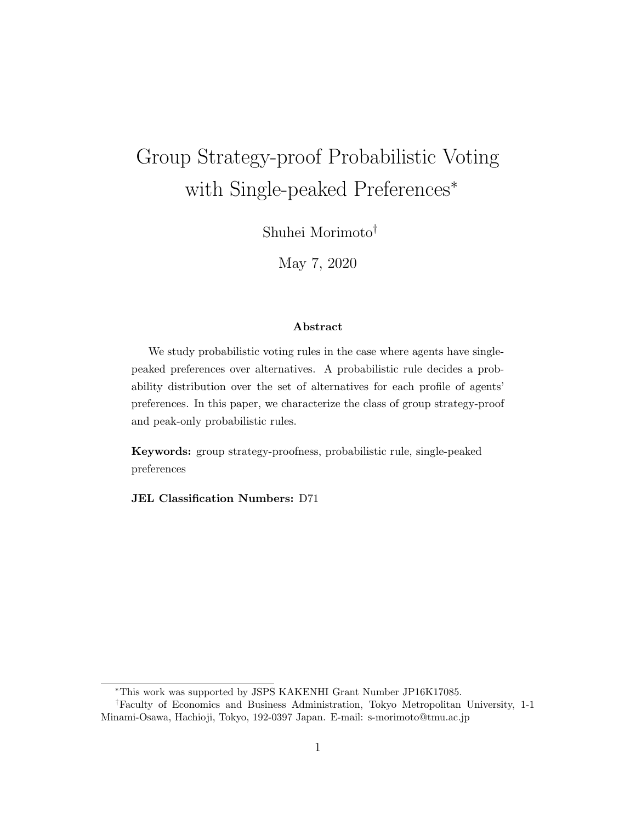# Group Strategy-proof Probabilistic Voting with Single-peaked Preferences*<sup>∗</sup>*

Shuhei Morimoto*†*

May 7, 2020

#### **Abstract**

We study probabilistic voting rules in the case where agents have singlepeaked preferences over alternatives. A probabilistic rule decides a probability distribution over the set of alternatives for each profile of agents' preferences. In this paper, we characterize the class of group strategy-proof and peak-only probabilistic rules.

**Keywords:** group strategy-proofness, probabilistic rule, single-peaked preferences

**JEL Classification Numbers:** D71

*<sup>∗</sup>*This work was supported by JSPS KAKENHI Grant Number JP16K17085.

*<sup>†</sup>*Faculty of Economics and Business Administration, Tokyo Metropolitan University, 1-1 Minami-Osawa, Hachioji, Tokyo, 192-0397 Japan. E-mail: s-morimoto@tmu.ac.jp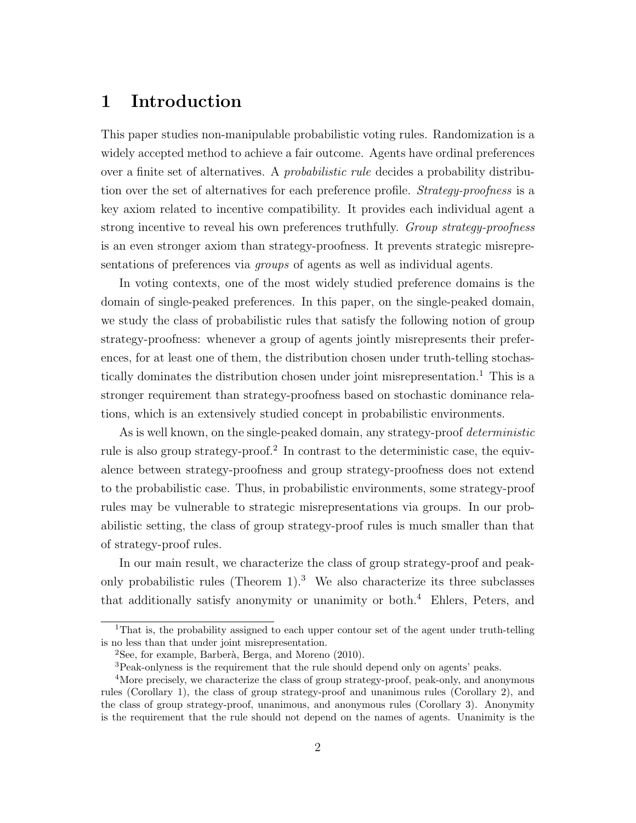## **1 Introduction**

This paper studies non-manipulable probabilistic voting rules. Randomization is a widely accepted method to achieve a fair outcome. Agents have ordinal preferences over a finite set of alternatives. A *probabilistic rule* decides a probability distribution over the set of alternatives for each preference profile. *Strategy-proofness* is a key axiom related to incentive compatibility. It provides each individual agent a strong incentive to reveal his own preferences truthfully. *Group strategy-proofness* is an even stronger axiom than strategy-proofness. It prevents strategic misrepresentations of preferences via *groups* of agents as well as individual agents.

In voting contexts, one of the most widely studied preference domains is the domain of single-peaked preferences. In this paper, on the single-peaked domain, we study the class of probabilistic rules that satisfy the following notion of group strategy-proofness: whenever a group of agents jointly misrepresents their preferences, for at least one of them, the distribution chosen under truth-telling stochastically dominates the distribution chosen under joint misrepresentation.<sup>1</sup> This is a stronger requirement than strategy-proofness based on stochastic dominance relations, which is an extensively studied concept in probabilistic environments.

As is well known, on the single-peaked domain, any strategy-proof *deterministic* rule is also group strategy-proof.<sup>2</sup> In contrast to the deterministic case, the equivalence between strategy-proofness and group strategy-proofness does not extend to the probabilistic case. Thus, in probabilistic environments, some strategy-proof rules may be vulnerable to strategic misrepresentations via groups. In our probabilistic setting, the class of group strategy-proof rules is much smaller than that of strategy-proof rules.

In our main result, we characterize the class of group strategy-proof and peakonly probabilistic rules (Theorem  $1$ ).<sup>3</sup> We also characterize its three subclasses that additionally satisfy anonymity or unanimity or both.<sup>4</sup> Ehlers, Peters, and

<sup>1</sup>That is, the probability assigned to each upper contour set of the agent under truth-telling is no less than that under joint misrepresentation.

 $2$ See, for example, Barberà, Berga, and Moreno (2010).

<sup>3</sup>Peak-onlyness is the requirement that the rule should depend only on agents' peaks.

<sup>4</sup>More precisely, we characterize the class of group strategy-proof, peak-only, and anonymous rules (Corollary 1), the class of group strategy-proof and unanimous rules (Corollary 2), and the class of group strategy-proof, unanimous, and anonymous rules (Corollary 3). Anonymity is the requirement that the rule should not depend on the names of agents. Unanimity is the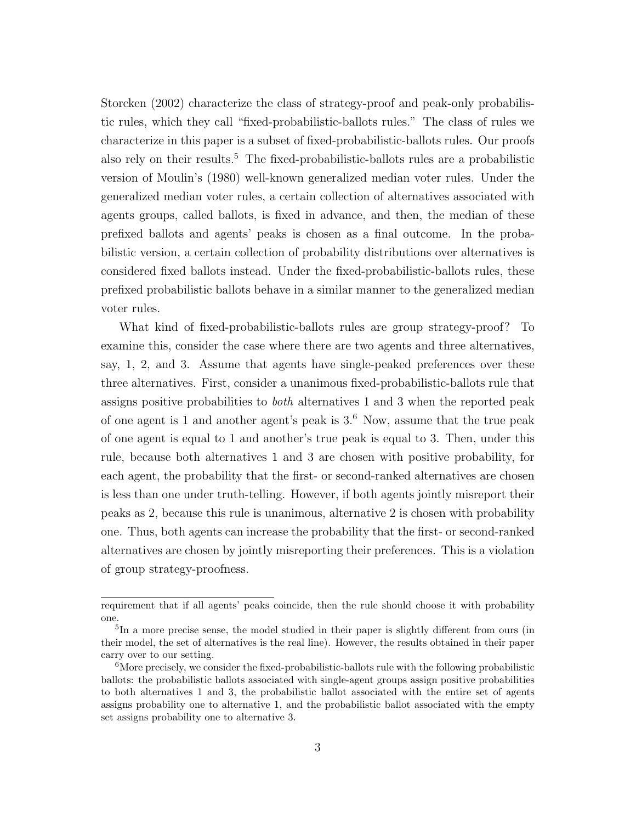Storcken (2002) characterize the class of strategy-proof and peak-only probabilistic rules, which they call "fixed-probabilistic-ballots rules." The class of rules we characterize in this paper is a subset of fixed-probabilistic-ballots rules. Our proofs also rely on their results.<sup>5</sup> The fixed-probabilistic-ballots rules are a probabilistic version of Moulin's (1980) well-known generalized median voter rules. Under the generalized median voter rules, a certain collection of alternatives associated with agents groups, called ballots, is fixed in advance, and then, the median of these prefixed ballots and agents' peaks is chosen as a final outcome. In the probabilistic version, a certain collection of probability distributions over alternatives is considered fixed ballots instead. Under the fixed-probabilistic-ballots rules, these prefixed probabilistic ballots behave in a similar manner to the generalized median voter rules.

What kind of fixed-probabilistic-ballots rules are group strategy-proof? To examine this, consider the case where there are two agents and three alternatives, say, 1, 2, and 3. Assume that agents have single-peaked preferences over these three alternatives. First, consider a unanimous fixed-probabilistic-ballots rule that assigns positive probabilities to *both* alternatives 1 and 3 when the reported peak of one agent is 1 and another agent's peak is  $3<sup>6</sup>$  Now, assume that the true peak of one agent is equal to 1 and another's true peak is equal to 3. Then, under this rule, because both alternatives 1 and 3 are chosen with positive probability, for each agent, the probability that the first- or second-ranked alternatives are chosen is less than one under truth-telling. However, if both agents jointly misreport their peaks as 2, because this rule is unanimous, alternative 2 is chosen with probability one. Thus, both agents can increase the probability that the first- or second-ranked alternatives are chosen by jointly misreporting their preferences. This is a violation of group strategy-proofness.

requirement that if all agents' peaks coincide, then the rule should choose it with probability one.

<sup>&</sup>lt;sup>5</sup>In a more precise sense, the model studied in their paper is slightly different from ours (in their model, the set of alternatives is the real line). However, the results obtained in their paper carry over to our setting.

<sup>&</sup>lt;sup>6</sup>More precisely, we consider the fixed-probabilistic-ballots rule with the following probabilistic ballots: the probabilistic ballots associated with single-agent groups assign positive probabilities to both alternatives 1 and 3, the probabilistic ballot associated with the entire set of agents assigns probability one to alternative 1, and the probabilistic ballot associated with the empty set assigns probability one to alternative 3.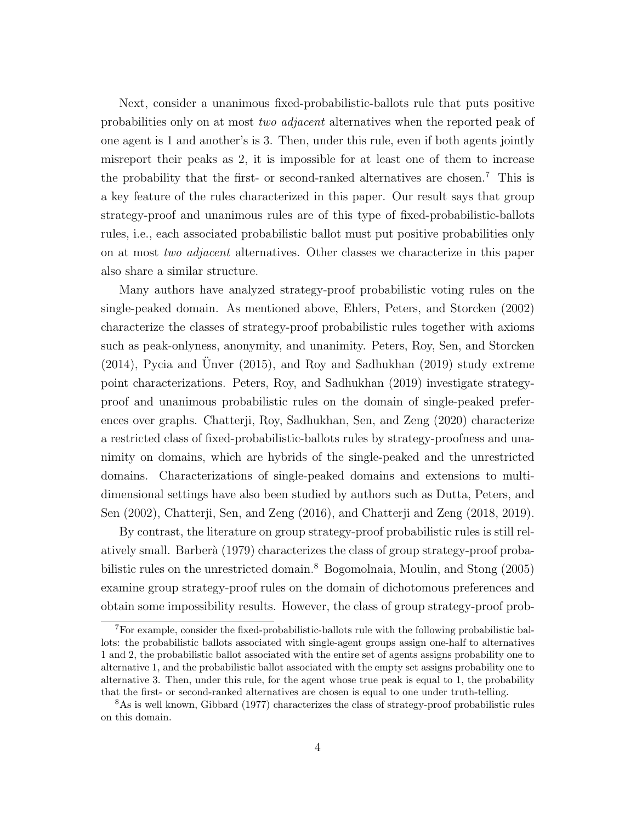Next, consider a unanimous fixed-probabilistic-ballots rule that puts positive probabilities only on at most *two adjacent* alternatives when the reported peak of one agent is 1 and another's is 3. Then, under this rule, even if both agents jointly misreport their peaks as 2, it is impossible for at least one of them to increase the probability that the first- or second-ranked alternatives are chosen.<sup>7</sup> This is a key feature of the rules characterized in this paper. Our result says that group strategy-proof and unanimous rules are of this type of fixed-probabilistic-ballots rules, i.e., each associated probabilistic ballot must put positive probabilities only on at most *two adjacent* alternatives. Other classes we characterize in this paper also share a similar structure.

Many authors have analyzed strategy-proof probabilistic voting rules on the single-peaked domain. As mentioned above, Ehlers, Peters, and Storcken (2002) characterize the classes of strategy-proof probabilistic rules together with axioms such as peak-onlyness, anonymity, and unanimity. Peters, Roy, Sen, and Storcken  $(2014)$ , Pycia and Unver  $(2015)$ , and Roy and Sadhukhan  $(2019)$  study extreme point characterizations. Peters, Roy, and Sadhukhan (2019) investigate strategyproof and unanimous probabilistic rules on the domain of single-peaked preferences over graphs. Chatterji, Roy, Sadhukhan, Sen, and Zeng (2020) characterize a restricted class of fixed-probabilistic-ballots rules by strategy-proofness and unanimity on domains, which are hybrids of the single-peaked and the unrestricted domains. Characterizations of single-peaked domains and extensions to multidimensional settings have also been studied by authors such as Dutta, Peters, and Sen (2002), Chatterji, Sen, and Zeng (2016), and Chatterji and Zeng (2018, 2019).

By contrast, the literature on group strategy-proof probabilistic rules is still relatively small. Barber`a (1979) characterizes the class of group strategy-proof probabilistic rules on the unrestricted domain.<sup>8</sup> Bogomolnaia, Moulin, and Stong (2005) examine group strategy-proof rules on the domain of dichotomous preferences and obtain some impossibility results. However, the class of group strategy-proof prob-

<sup>7</sup>For example, consider the fixed-probabilistic-ballots rule with the following probabilistic ballots: the probabilistic ballots associated with single-agent groups assign one-half to alternatives 1 and 2, the probabilistic ballot associated with the entire set of agents assigns probability one to alternative 1, and the probabilistic ballot associated with the empty set assigns probability one to alternative 3. Then, under this rule, for the agent whose true peak is equal to 1, the probability that the first- or second-ranked alternatives are chosen is equal to one under truth-telling.

<sup>8</sup>As is well known, Gibbard (1977) characterizes the class of strategy-proof probabilistic rules on this domain.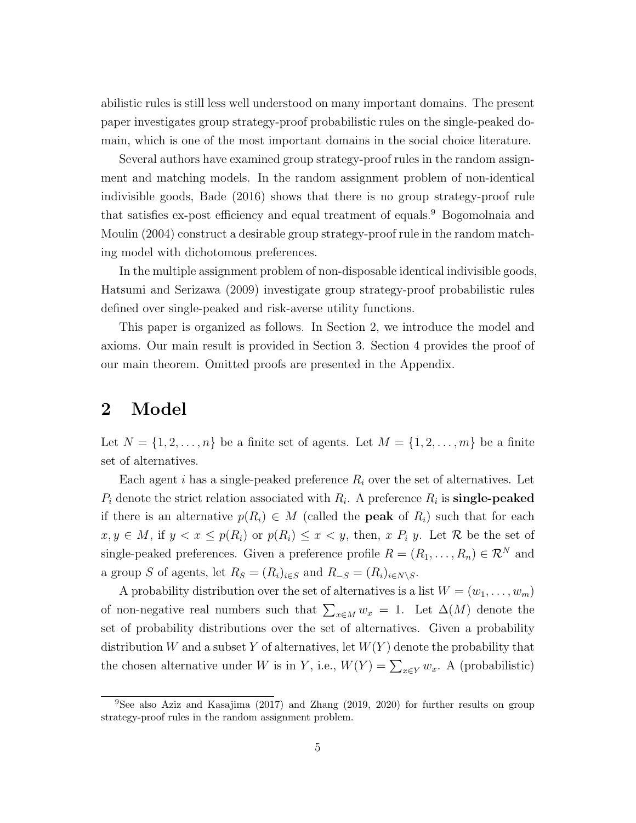abilistic rules is still less well understood on many important domains. The present paper investigates group strategy-proof probabilistic rules on the single-peaked domain, which is one of the most important domains in the social choice literature.

Several authors have examined group strategy-proof rules in the random assignment and matching models. In the random assignment problem of non-identical indivisible goods, Bade (2016) shows that there is no group strategy-proof rule that satisfies ex-post efficiency and equal treatment of equals.<sup>9</sup> Bogomolnaia and Moulin (2004) construct a desirable group strategy-proof rule in the random matching model with dichotomous preferences.

In the multiple assignment problem of non-disposable identical indivisible goods, Hatsumi and Serizawa (2009) investigate group strategy-proof probabilistic rules defined over single-peaked and risk-averse utility functions.

This paper is organized as follows. In Section 2, we introduce the model and axioms. Our main result is provided in Section 3. Section 4 provides the proof of our main theorem. Omitted proofs are presented in the Appendix.

### **2 Model**

Let  $N = \{1, 2, \ldots, n\}$  be a finite set of agents. Let  $M = \{1, 2, \ldots, m\}$  be a finite set of alternatives.

Each agent  $i$  has a single-peaked preference  $R_i$  over the set of alternatives. Let  $P_i$  denote the strict relation associated with  $R_i$ . A preference  $R_i$  is **single-peaked** if there is an alternative  $p(R_i) \in M$  (called the **peak** of  $R_i$ ) such that for each *x*, *y* ∈ *M*, if *y* < *x* ≤ *p*(*R*<sub>*i*</sub>) or *p*(*R*<sub>*i*</sub>) ≤ *x* < *y*, then, *x P*<sub>*i*</sub> *y*. Let *R* be the set of single-peaked preferences. Given a preference profile  $R = (R_1, \ldots, R_n) \in \mathcal{R}^N$  and a group *S* of agents, let  $R_S = (R_i)_{i \in S}$  and  $R_{-S} = (R_i)_{i \in N \setminus S}$ .

A probability distribution over the set of alternatives is a list  $W = (w_1, \ldots, w_m)$ of non-negative real numbers such that  $\sum_{x \in M} w_x = 1$ . Let  $\Delta(M)$  denote the set of probability distributions over the set of alternatives. Given a probability distribution *W* and a subset *Y* of alternatives, let *W*(*Y* ) denote the probability that the chosen alternative under *W* is in *Y*, i.e.,  $W(Y) = \sum_{x \in Y} w_x$ . A (probabilistic)

<sup>9</sup>See also Aziz and Kasajima (2017) and Zhang (2019, 2020) for further results on group strategy-proof rules in the random assignment problem.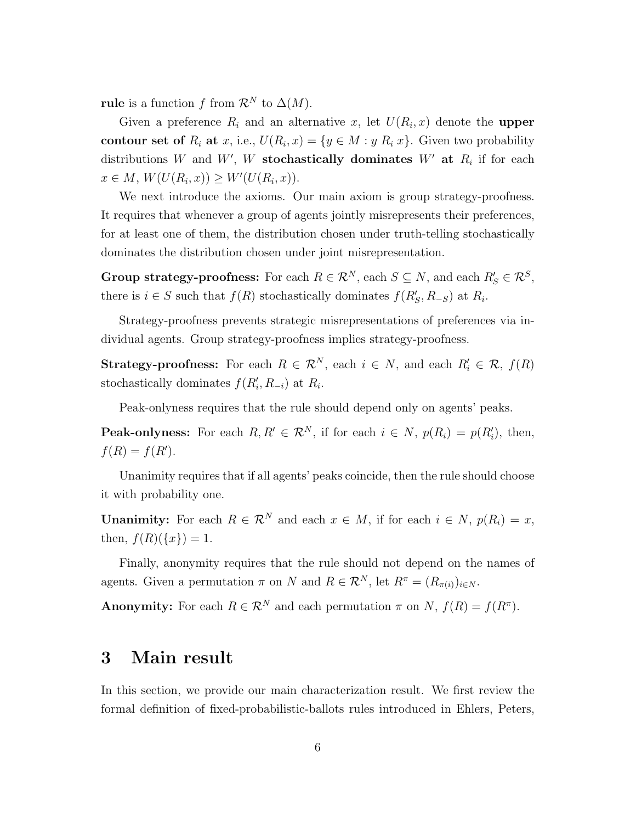**rule** is a function *f* from  $\mathcal{R}^N$  to  $\Delta(M)$ .

Given a preference  $R_i$  and an alternative  $x$ , let  $U(R_i, x)$  denote the **upper contour set of**  $R_i$  at  $x$ , i.e.,  $U(R_i, x) = \{y \in M : y R_i | x\}$ . Given two probability distributions *W* and *W'*, *W* **stochastically dominates** *W'* at  $R_i$  if for each  $x \in M$ ,  $W(U(R_i, x)) \geq W'(U(R_i, x))$ .

We next introduce the axioms. Our main axiom is group strategy-proofness. It requires that whenever a group of agents jointly misrepresents their preferences, for at least one of them, the distribution chosen under truth-telling stochastically dominates the distribution chosen under joint misrepresentation.

Group strategy-proofness: For each  $R \in \mathcal{R}^N$ , each  $S \subseteq N$ , and each  $R'_S \in \mathcal{R}^S$ , there is  $i \in S$  such that  $f(R)$  stochastically dominates  $f(R'_{S}, R_{-S})$  at  $R_{i}$ .

Strategy-proofness prevents strategic misrepresentations of preferences via individual agents. Group strategy-proofness implies strategy-proofness.

**Strategy-proofness:** For each  $R \in \mathbb{R}^N$ , each  $i \in N$ , and each  $R'_i \in \mathbb{R}$ ,  $f(R)$ stochastically dominates  $f(R'_i, R_{-i})$  at  $R_i$ .

Peak-onlyness requires that the rule should depend only on agents' peaks.

**Peak-onlyness:** For each  $R, R' \in \mathbb{R}^N$ , if for each  $i \in N$ ,  $p(R_i) = p(R'_i)$ , then,  $f(R) = f(R')$ .

Unanimity requires that if all agents' peaks coincide, then the rule should choose it with probability one.

**Unanimity:** For each  $R \in \mathbb{R}^N$  and each  $x \in M$ , if for each  $i \in N$ ,  $p(R_i) = x$ , then,  $f(R)(\{x\}) = 1$ .

Finally, anonymity requires that the rule should not depend on the names of agents. Given a permutation  $\pi$  on  $N$  and  $R \in \mathcal{R}^N$ , let  $R^{\pi} = (R_{\pi(i)})_{i \in N}$ .

**Anonymity:** For each  $R \in \mathbb{R}^N$  and each permutation  $\pi$  on  $N$ ,  $f(R) = f(R^{\pi})$ .

#### **3 Main result**

In this section, we provide our main characterization result. We first review the formal definition of fixed-probabilistic-ballots rules introduced in Ehlers, Peters,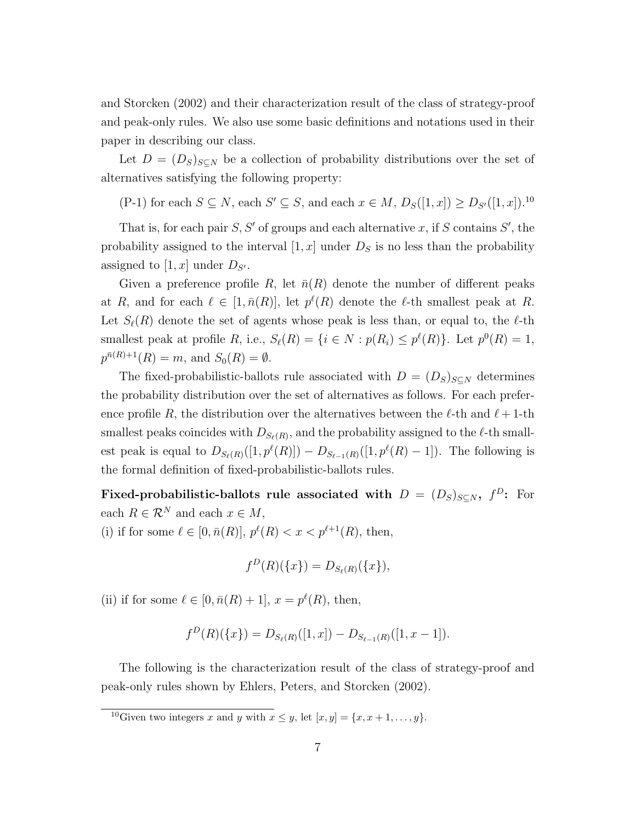and Storcken (2002) and their characterization result of the class of strategy-proof and peak-only rules. We also use some basic definitions and notations used in their paper in describing our class.

Let  $D = (D_S)_{S \subseteq N}$  be a collection of probability distributions over the set of alternatives satisfying the following property:

(P-1) for each  $S \subseteq N$ , each  $S' \subseteq S$ , and each  $x \in M$ ,  $D_S([1, x]) \ge D_{S'}([1, x])$ .<sup>10</sup>

That is, for each pair *S, S′* of groups and each alternative *x*, if *S* contains *S ′* , the probability assigned to the interval  $[1, x]$  under  $D<sub>S</sub>$  is no less than the probability assigned to  $[1, x]$  under  $D_{S'}$ .

Given a preference profile *R*, let  $\bar{n}(R)$  denote the number of different peaks at *R*, and for each  $\ell \in [1, \bar{n}(R)]$ , let  $p^{\ell}(R)$  denote the  $\ell$ -th smallest peak at *R*. Let  $S_{\ell}(R)$  denote the set of agents whose peak is less than, or equal to, the  $\ell$ -th smallest peak at profile *R*, i.e.,  $S_{\ell}(R) = \{i \in N : p(R_i) \leq p^{\ell}(R)\}\$ . Let  $p^0(R) = 1$ ,  $p^{\bar{n}(R)+1}(R) = m$ , and  $S_0(R) = \emptyset$ .

The fixed-probabilistic-ballots rule associated with  $D = (D_S)_{S \subseteq N}$  determines the probability distribution over the set of alternatives as follows. For each preference profile R, the distribution over the alternatives between the  $\ell$ -th and  $\ell$  + 1-th smallest peaks coincides with  $D_{S_{\ell}(R)}$ , and the probability assigned to the  $\ell$ -th smallest peak is equal to  $D_{S_{\ell}(R)}([1, p^{\ell}(R)]) - D_{S_{\ell-1}(R)}([1, p^{\ell}(R) - 1])$ . The following is the formal definition of fixed-probabilistic-ballots rules.

**Fixed-probabilistic-ballots rule associated with**  $D = (D_S)_{S \subseteq N}$ **,**  $f^D$ **:** For each  $R \in \mathcal{R}^N$  and each  $x \in M$ ,

(i) if for some  $\ell \in [0, \bar{n}(R)], p^{\ell}(R) < x < p^{\ell+1}(R)$ , then,

$$
f^{D}(R)(\{x\}) = D_{S_{\ell}(R)}(\{x\}),
$$

(ii) if for some  $\ell \in [0, \bar{n}(R) + 1], x = p^{\ell}(R)$ , then,

$$
f^{D}(R)(\{x\}) = D_{S_{\ell}(R)}([1, x]) - D_{S_{\ell-1}(R)}([1, x-1]).
$$

The following is the characterization result of the class of strategy-proof and peak-only rules shown by Ehlers, Peters, and Storcken (2002).

<sup>10</sup>Given two integers *x* and *y* with  $x \leq y$ , let  $[x, y] = \{x, x + 1, \ldots, y\}$ .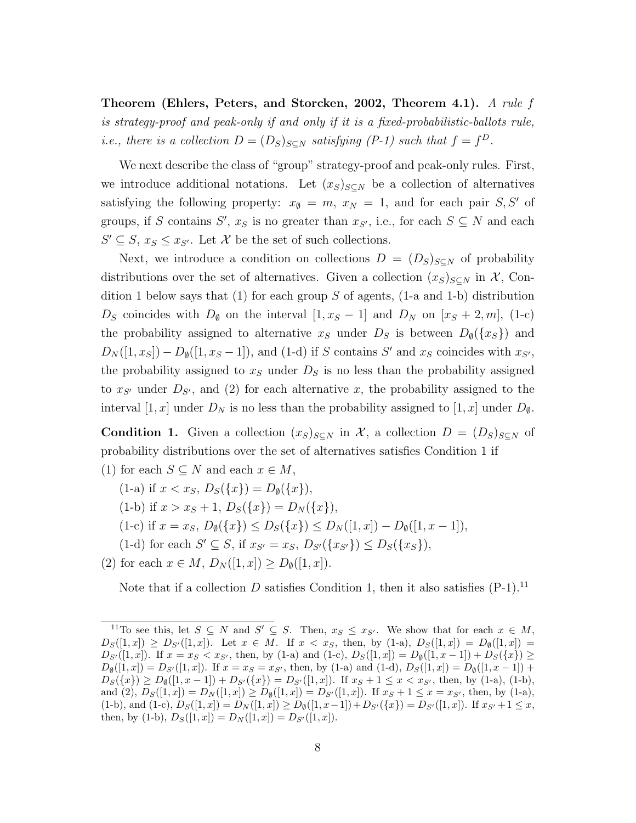**Theorem (Ehlers, Peters, and Storcken, 2002, Theorem 4.1).** *A rule f is strategy-proof and peak-only if and only if it is a fixed-probabilistic-ballots rule, i.e., there is a collection*  $D = (D_S)_{S \subseteq N}$  *satisfying*  $(P-1)$  *such that*  $f = f^D$ *.* 

We next describe the class of "group" strategy-proof and peak-only rules. First, we introduce additional notations. Let  $(x_S)_{S\subseteq N}$  be a collection of alternatives satisfying the following property:  $x_{\emptyset} = m$ ,  $x_N = 1$ , and for each pair *S*, S<sup>*'*</sup> of groups, if *S* contains *S'*,  $x_S$  is no greater than  $x_{S'}$ , i.e., for each  $S \subseteq N$  and each *S*<sup> $′$ </sup> ⊆ *S*, *x<sub>S</sub>* ≤ *x<sub>S</sub><sup>* $′$ *</sup>*. Let *X* be the set of such collections.

Next, we introduce a condition on collections  $D = (D_S)_{S \subseteq N}$  of probability distributions over the set of alternatives. Given a collection  $(x_S)_{S\subset N}$  in  $\mathcal{X}$ , Condition 1 below says that (1) for each group *S* of agents, (1-a and 1-b) distribution *D<sub>S</sub>* coincides with  $D_{\emptyset}$  on the interval  $[1, x_S - 1]$  and  $D_N$  on  $[x_S + 2, m]$ , (1-c) the probability assigned to alternative  $x_S$  under  $D_S$  is between  $D_{\emptyset}(\{x_S\})$  and  $D_N([1, x_S]) - D_{\emptyset}([1, x_S - 1])$ , and (1-d) if *S* contains *S*<sup>*'*</sup> and *x<sub>S</sub>* coincides with *x<sub>S'</sub>*, the probability assigned to  $x<sub>S</sub>$  under  $D<sub>S</sub>$  is no less than the probability assigned to  $x_{S'}$  under  $D_{S'}$ , and (2) for each alternative  $x$ , the probability assigned to the interval [1, x] under  $D_N$  is no less than the probability assigned to [1, x] under  $D_{\emptyset}$ .

**Condition 1.** Given a collection  $(x_S)_{S \subseteq N}$  in X, a collection  $D = (D_S)_{S \subseteq N}$  of probability distributions over the set of alternatives satisfies Condition 1 if (1) for each  $S \subseteq N$  and each  $x \in M$ ,

- $(1-a)$  if  $x < x_S$ ,  $D_S({x}) = D_{\emptyset}({x})$ ,
- $(1-b)$  if  $x > x_s + 1$ ,  $D_s({x}) = D_N({x})$ ,
- $(1-c)$  if  $x = x_S$ ,  $D_{\emptyset}(\{x\}) \leq D_S(\{x\}) \leq D_N([1, x]) D_{\emptyset}([1, x-1]),$
- (1-d) for each  $S' \subseteq S$ , if  $x_{S'} = x_S$ ,  $D_{S'}(\{x_{S'}\}) \leq D_S(\{x_S\})$ ,
- (2) for each  $x \in M$ ,  $D_N([1, x]) \geq D_{\emptyset}([1, x])$ .

Note that if a collection *D* satisfies Condition 1, then it also satisfies  $(P-1)$ .<sup>11</sup>

<sup>&</sup>lt;sup>11</sup>To see this, let  $S \subseteq N$  and  $S' \subseteq S$ . Then,  $x_S \le x_{S'}$ . We show that for each  $x \in M$ ,  $D_S([1, x]) \geq D_{S'}([1, x])$ . Let  $x \in M$ . If  $x < x_S$ , then, by (1-a),  $D_S([1, x]) = D_{\emptyset}([1, x])$  $D_{S'}([1,x])$ . If  $x = x_S < x_{S'}$ , then, by (1-a) and (1-c),  $D_S([1,x]) = D_{\emptyset}([1,x-1]) + D_S({x}) \ge$  $D_{\emptyset}([1, x]) = D_{S'}([1, x])$ . If  $x = x_S = x_{S'}$ , then, by (1-a) and (1-d),  $D_S([1, x]) = D_{\emptyset}([1, x-1])$  +  $D_S({x}) \ge D_{\emptyset}([1, x-1]) + D_{S'}({x}) = D_{S'}([1, x])$ . If  $x_S + 1 \le x < x_{S'}$ , then, by (1-a), (1-b), and (2),  $D_S([1, x]) = D_N([1, x]) \ge D_\emptyset([1, x]) = D_{S'}([1, x])$ . If  $x_S + 1 \le x = x_{S'}$ , then, by (1-a),  $(1-b)$ , and  $(1-c)$ ,  $D_S([1, x]) = D_N([1, x]) \ge D_\emptyset([1, x-1]) + D_{S'}(\{x\}) = D_{S'}([1, x])$ . If  $x_{S'} + 1 \le x$ , then, by (1-b),  $D_S([1, x]) = D_N([1, x]) = D_{S'}([1, x]).$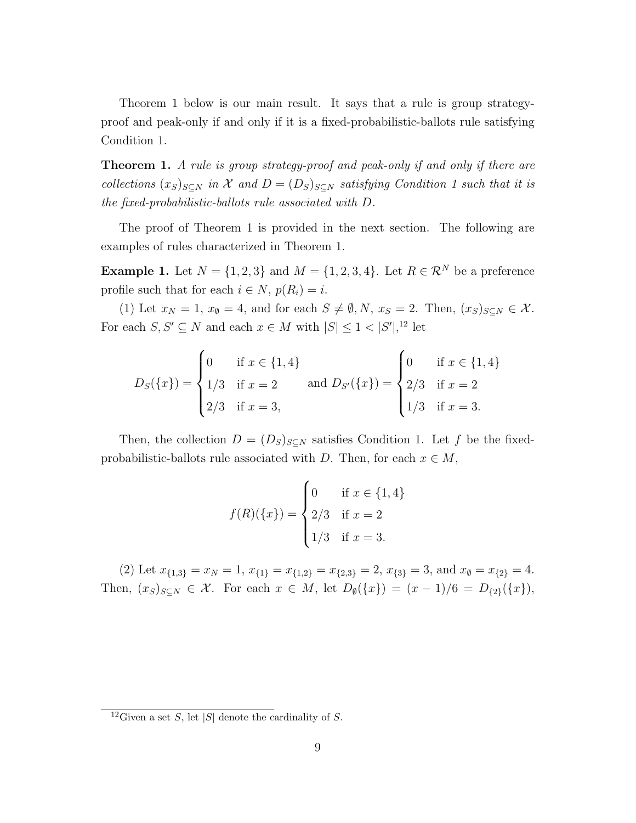Theorem 1 below is our main result. It says that a rule is group strategyproof and peak-only if and only if it is a fixed-probabilistic-ballots rule satisfying Condition 1.

**Theorem 1.** *A rule is group strategy-proof and peak-only if and only if there are collections*  $(x_S)_{S \subseteq N}$  *in*  $\mathcal X$  *and*  $D = (D_S)_{S \subseteq N}$  *satisfying Condition 1 such that it is the fixed-probabilistic-ballots rule associated with D.*

The proof of Theorem 1 is provided in the next section. The following are examples of rules characterized in Theorem 1.

**Example 1.** Let  $N = \{1, 2, 3\}$  and  $M = \{1, 2, 3, 4\}$ . Let  $R \in \mathbb{R}^N$  be a preference profile such that for each  $i \in N$ ,  $p(R_i) = i$ .

(1) Let  $x_N = 1$ ,  $x_\emptyset = 4$ , and for each  $S \neq \emptyset, N$ ,  $x_S = 2$ . Then,  $(x_S)_{S \subseteq N} \in \mathcal{X}$ . For each  $S, S' \subseteq N$  and each  $x \in M$  with  $|S| \leq 1 < |S'|$ , <sup>12</sup> let

$$
D_S({x}) = \begin{cases} 0 & \text{if } x \in \{1, 4\} \\ 1/3 & \text{if } x = 2 \\ 2/3 & \text{if } x = 3, \end{cases} \text{ and } D_{S'}({x}) = \begin{cases} 0 & \text{if } x \in \{1, 4\} \\ 2/3 & \text{if } x = 2 \\ 1/3 & \text{if } x = 3. \end{cases}
$$

Then, the collection  $D = (D_S)_{S \subseteq N}$  satisfies Condition 1. Let f be the fixedprobabilistic-ballots rule associated with *D*. Then, for each  $x \in M$ ,

$$
f(R)(\{x\}) = \begin{cases} 0 & \text{if } x \in \{1, 4\} \\ 2/3 & \text{if } x = 2 \\ 1/3 & \text{if } x = 3. \end{cases}
$$

(2) Let  $x_{\{1,3\}} = x_N = 1$ ,  $x_{\{1\}} = x_{\{1,2\}} = x_{\{2,3\}} = 2$ ,  $x_{\{3\}} = 3$ , and  $x_{\emptyset} = x_{\{2\}} = 4$ . Then,  $(x_S)_{S \subseteq N} \in \mathcal{X}$ . For each  $x \in M$ , let  $D_{\emptyset}(\{x\}) = (x - 1)/6 = D_{\{2\}}(\{x\}),$ 

<sup>&</sup>lt;sup>12</sup>Given a set *S*, let |*S*| denote the cardinality of *S*.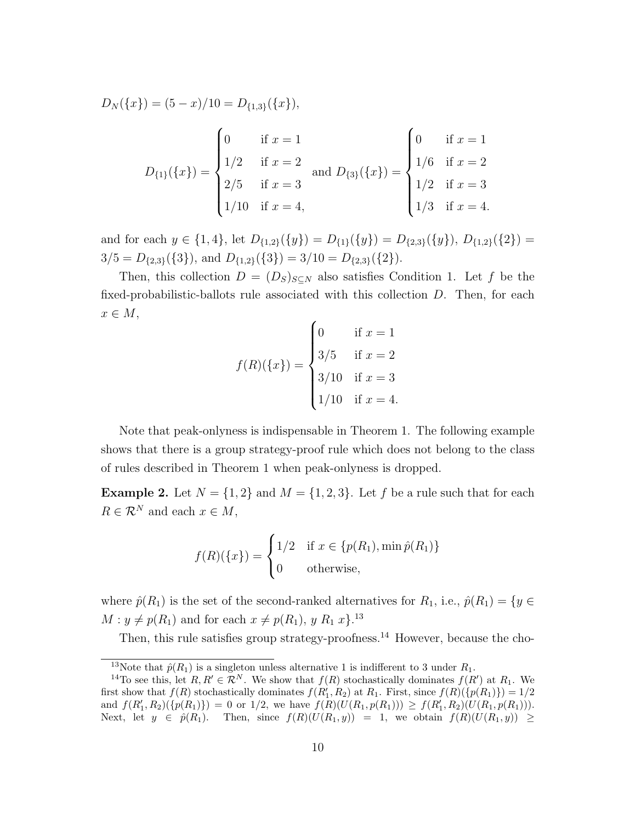$$
D_N(\{x\}) = (5 - x)/10 = D_{\{1,3\}}(\{x\}),
$$
  

$$
D_{\{1\}}(\{x\}) = \begin{cases} 0 & \text{if } x = 1 \\ 1/2 & \text{if } x = 2 \\ 2/5 & \text{if } x = 3 \end{cases} \text{ and } D_{\{3\}}(\{x\}) = \begin{cases} 0 & \text{if } x = 1 \\ 1/6 & \text{if } x = 2 \\ 1/2 & \text{if } x = 3 \\ 1/2 & \text{if } x = 3 \\ 1/3 & \text{if } x = 4. \end{cases}
$$

and for each  $y \in \{1,4\}$ , let  $D_{\{1,2\}}(\{y\}) = D_{\{1\}}(\{y\}) = D_{\{2,3\}}(\{y\})$ ,  $D_{\{1,2\}}(\{2\}) =$  $3/5 = D_{\{2,3\}}(\{3\})$ , and  $D_{\{1,2\}}(\{3\}) = 3/10 = D_{\{2,3\}}(\{2\})$ .

Then, this collection  $D = (D_S)_{S \subset N}$  also satisfies Condition 1. Let f be the fixed-probabilistic-ballots rule associated with this collection *D*. Then, for each *x ∈ M*,

$$
f(R)(\{x\}) = \begin{cases} 0 & \text{if } x = 1 \\ 3/5 & \text{if } x = 2 \\ 3/10 & \text{if } x = 3 \\ 1/10 & \text{if } x = 4. \end{cases}
$$

Note that peak-onlyness is indispensable in Theorem 1. The following example shows that there is a group strategy-proof rule which does not belong to the class of rules described in Theorem 1 when peak-onlyness is dropped.

**Example 2.** Let  $N = \{1, 2\}$  and  $M = \{1, 2, 3\}$ . Let f be a rule such that for each  $R \in \mathcal{R}^N$  and each  $x \in M$ ,

$$
f(R)(\{x\}) = \begin{cases} 1/2 & \text{if } x \in \{p(R_1), \min \hat{p}(R_1)\} \\ 0 & \text{otherwise,} \end{cases}
$$

where  $\hat{p}(R_1)$  is the set of the second-ranked alternatives for  $R_1$ , i.e.,  $\hat{p}(R_1) = \{y \in$  $M: y \neq p(R_1)$  and for each  $x \neq p(R_1), y R_1 x$ <sup>13</sup>.

Then, this rule satisfies group strategy-proofness.<sup>14</sup> However, because the cho-

<sup>&</sup>lt;sup>13</sup>Note that  $\hat{p}(R_1)$  is a singleton unless alternative 1 is indifferent to 3 under  $R_1$ .

<sup>&</sup>lt;sup>14</sup>To see this, let  $R, R' \in \mathbb{R}^N$ . We show that  $f(R)$  stochastically dominates  $f(R')$  at  $R_1$ . We first show that  $f(R)$  stochastically dominates  $f(R'_1, R_2)$  at  $R_1$ . First, since  $f(R)(\{p(R_1)\}) = 1/2$ and  $f(R'_1, R_2)(\{p(R_1)\}) = 0$  or  $1/2$ , we have  $f(R)(U(R_1, p(R_1))) \ge f(R'_1, R_2)(U(R_1, p(R_1))).$ Next, let  $y \in \hat{p}(R_1)$ . Then, since  $f(R)(U(R_1,y)) = 1$ , we obtain  $f(R)(U(R_1,y)) \ge$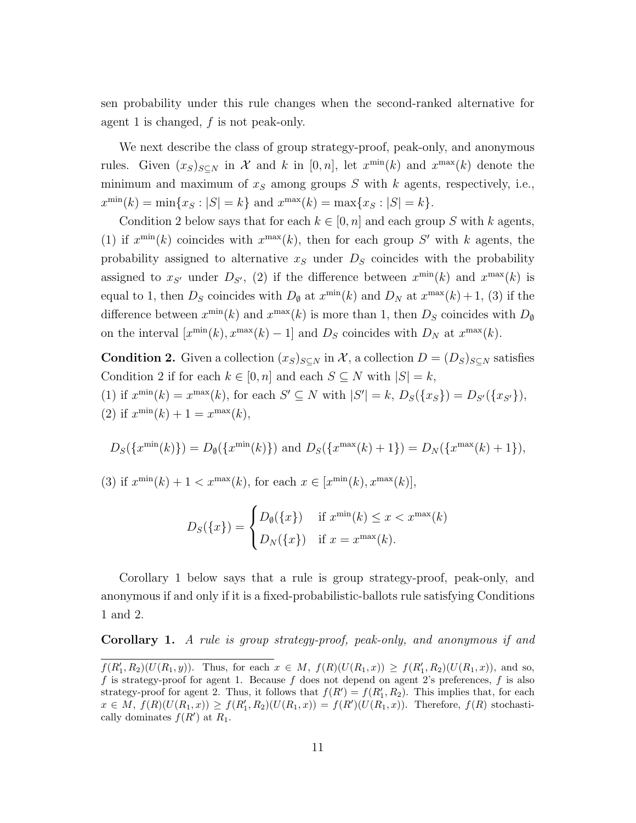sen probability under this rule changes when the second-ranked alternative for agent 1 is changed, *f* is not peak-only.

We next describe the class of group strategy-proof, peak-only, and anonymous rules. Given  $(x_S)_{S \subseteq N}$  in *X* and *k* in [0, *n*], let  $x^{\min}(k)$  and  $x^{\max}(k)$  denote the minimum and maximum of *x<sup>S</sup>* among groups *S* with *k* agents, respectively, i.e.,  $x^{\min}(k) = \min\{x_S : |S| = k\}$  and  $x^{\max}(k) = \max\{x_S : |S| = k\}.$ 

Condition 2 below says that for each  $k \in [0, n]$  and each group *S* with *k* agents, (1) if  $x^{\min}(k)$  coincides with  $x^{\max}(k)$ , then for each group S' with k agents, the probability assigned to alternative  $x<sub>S</sub>$  under  $D<sub>S</sub>$  coincides with the probability assigned to  $x_{S'}$  under  $D_{S'}$ , (2) if the difference between  $x^{\min}(k)$  and  $x^{\max}(k)$  is equal to 1, then  $D<sub>S</sub>$  coincides with  $D<sub>Ø</sub>$  at  $x^{\min}(k)$  and  $D<sub>N</sub>$  at  $x^{\max}(k) + 1$ , (3) if the difference between  $x^{\min}(k)$  and  $x^{\max}(k)$  is more than 1, then  $D_S$  coincides with  $D_{\emptyset}$ on the interval  $[x^{\min}(k), x^{\max}(k) - 1]$  and  $D_S$  coincides with  $D_N$  at  $x^{\max}(k)$ .

**Condition 2.** Given a collection  $(x_S)_{S \subseteq N}$  in X, a collection  $D = (D_S)_{S \subseteq N}$  satisfies Condition 2 if for each  $k \in [0, n]$  and each  $S \subseteq N$  with  $|S| = k$ ,

(1) if  $x^{\min}(k) = x^{\max}(k)$ , for each  $S' \subseteq N$  with  $|S'| = k$ ,  $D_S(\{x_S\}) = D_{S'}(\{x_{S'}\})$ , (2) if  $x^{\min}(k) + 1 = x^{\max}(k)$ ,

$$
D_S(\lbrace x^{\min}(k)\rbrace) = D_{\emptyset}(\lbrace x^{\min}(k)\rbrace)
$$
 and  $D_S(\lbrace x^{\max}(k)+1\rbrace) = D_N(\lbrace x^{\max}(k)+1\rbrace),$ 

(3) if  $x^{\min}(k) + 1 < x^{\max}(k)$ , for each  $x \in [x^{\min}(k), x^{\max}(k)]$ ,

$$
D_S(\{x\}) = \begin{cases} D_{\emptyset}(\{x\}) & \text{if } x^{\min}(k) \le x < x^{\max}(k) \\ D_N(\{x\}) & \text{if } x = x^{\max}(k). \end{cases}
$$

Corollary 1 below says that a rule is group strategy-proof, peak-only, and anonymous if and only if it is a fixed-probabilistic-ballots rule satisfying Conditions 1 and 2.

**Corollary 1.** *A rule is group strategy-proof, peak-only, and anonymous if and*

 $f(R'_1, R_2)(U(R_1, y))$ . Thus, for each  $x \in M$ ,  $f(R)(U(R_1, x)) \ge f(R'_1, R_2)(U(R_1, x))$ , and so, *f* is strategy-proof for agent 1. Because *f* does not depend on agent 2's preferences, *f* is also strategy-proof for agent 2. Thus, it follows that  $f(R') = f(R'_1, R_2)$ . This implies that, for each  $x \in M$ ,  $f(R)(U(R_1,x)) \ge f(R'_1,R_2)(U(R_1,x)) = f(R')(U(R_1,x))$ . Therefore,  $f(R)$  stochastically dominates  $f(R')$  at  $R_1$ .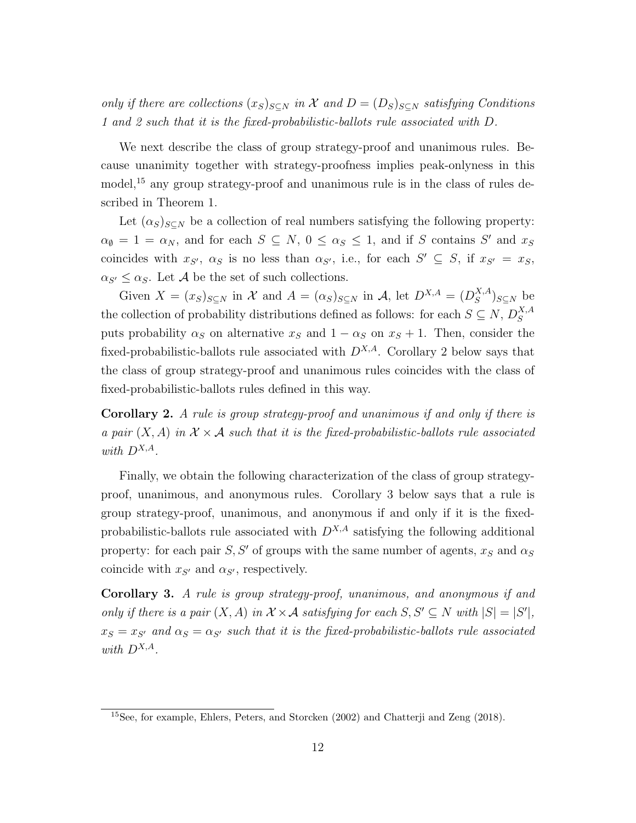*only if there are collections*  $(x_S)_{S \subset N}$  *in*  $\mathcal X$  *and*  $D = (D_S)_{S \subset N}$  *satisfying Conditions 1 and 2 such that it is the fixed-probabilistic-ballots rule associated with D.*

We next describe the class of group strategy-proof and unanimous rules. Because unanimity together with strategy-proofness implies peak-onlyness in this model,<sup>15</sup> any group strategy-proof and unanimous rule is in the class of rules described in Theorem 1.

Let  $(\alpha_S)_{S \subseteq N}$  be a collection of real numbers satisfying the following property:  $\alpha_{\emptyset} = 1 = \alpha_N$ , and for each  $S \subseteq N$ ,  $0 \leq \alpha_S \leq 1$ , and if *S* contains *S'* and  $x_S$ coincides with  $x_{S'}$ ,  $\alpha_S$  is no less than  $\alpha_{S'}$ , i.e., for each  $S' \subseteq S$ , if  $x_{S'} = x_S$ ,  $\alpha_{S'} \leq \alpha_S$ . Let *A* be the set of such collections.

Given  $X = (x_S)_{S \subseteq N}$  in  $\mathcal X$  and  $A = (\alpha_S)_{S \subseteq N}$  in  $\mathcal A$ , let  $D^{X,A} = (D^{X,A}_S)$  $(S^{X,A})$ <sub>*S*⊆*N*</sub> be the collection of probability distributions defined as follows: for each  $S \subseteq N$ ,  $D_S^{X,A}$ *S* puts probability  $\alpha_S$  on alternative  $x_S$  and  $1 - \alpha_S$  on  $x_S + 1$ . Then, consider the fixed-probabilistic-ballots rule associated with  $D^{X,A}$ . Corollary 2 below says that the class of group strategy-proof and unanimous rules coincides with the class of fixed-probabilistic-ballots rules defined in this way.

**Corollary 2.** *A rule is group strategy-proof and unanimous if and only if there is a pair*  $(X, A)$  *in*  $X \times A$  *such that it is the fixed-probabilistic-ballots rule associated with DX,A.*

Finally, we obtain the following characterization of the class of group strategyproof, unanimous, and anonymous rules. Corollary 3 below says that a rule is group strategy-proof, unanimous, and anonymous if and only if it is the fixedprobabilistic-ballots rule associated with *DX,A* satisfying the following additional property: for each pair *S*, *S'* of groups with the same number of agents,  $x<sub>S</sub>$  and  $\alpha<sub>S</sub>$ coincide with  $x_{S'}$  and  $\alpha_{S'}$ , respectively.

**Corollary 3.** *A rule is group strategy-proof, unanimous, and anonymous if and only if there is a pair*  $(X, A)$  *in*  $X \times A$  *satisfying for each*  $S, S' \subseteq N$  *with*  $|S| = |S'|$ ,  $x_S = x_{S'}$  and  $\alpha_S = \alpha_{S'}$  such that it is the fixed-probabilistic-ballots rule associated *with*  $D^{X,A}$ *.* 

<sup>15</sup>See, for example, Ehlers, Peters, and Storcken (2002) and Chatterji and Zeng (2018).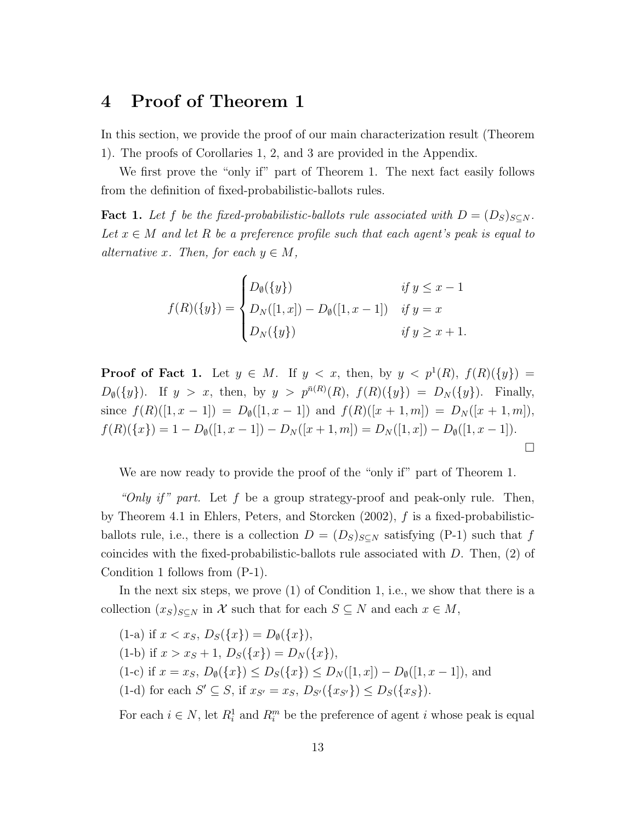#### **4 Proof of Theorem 1**

In this section, we provide the proof of our main characterization result (Theorem 1). The proofs of Corollaries 1, 2, and 3 are provided in the Appendix.

We first prove the "only if" part of Theorem 1. The next fact easily follows from the definition of fixed-probabilistic-ballots rules.

**Fact 1.** Let f be the fixed-probabilistic-ballots rule associated with  $D = (D_S)_{S \subseteq N}$ . Let  $x \in M$  and let R be a preference profile such that each agent's peak is equal to *alternative x.* Then, for each  $y \in M$ ,

$$
f(R)(\{y\}) = \begin{cases} D_{\emptyset}(\{y\}) & \text{if } y \leq x - 1 \\ D_N([1, x]) - D_{\emptyset}([1, x - 1]) & \text{if } y = x \\ D_N(\{y\}) & \text{if } y \geq x + 1. \end{cases}
$$

**Proof of Fact 1.** Let  $y \in M$ . If  $y < x$ , then, by  $y < p^1(R)$ ,  $f(R)(\{y\}) =$  $D_{\emptyset}(\{y\})$ . If  $y > x$ , then, by  $y > p^{\bar{n}(R)}(R)$ ,  $f(R)(\{y\}) = D_N(\{y\})$ . Finally, since  $f(R)([1, x - 1]) = D_{\emptyset}([1, x - 1])$  and  $f(R)([x + 1, m]) = D_{N}([x + 1, m]),$  $f(R)(\{x\}) = 1 - D_{\emptyset}([1, x - 1]) - D_{N}([x + 1, m]) = D_{N}([1, x]) - D_{\emptyset}([1, x - 1]).$  $\Box$ 

We are now ready to provide the proof of the "only if" part of Theorem 1.

*"Only if " part.* Let *f* be a group strategy-proof and peak-only rule. Then, by Theorem 4.1 in Ehlers, Peters, and Storcken (2002), *f* is a fixed-probabilisticballots rule, i.e., there is a collection  $D = (D_S)_{S \subseteq N}$  satisfying (P-1) such that f coincides with the fixed-probabilistic-ballots rule associated with *D*. Then, (2) of Condition 1 follows from (P-1).

In the next six steps, we prove (1) of Condition 1, i.e., we show that there is a collection  $(x_S)_{S \subseteq N}$  in *X* such that for each  $S \subseteq N$  and each  $x \in M$ ,

(1-a) if 
$$
x < x_S
$$
,  $D_S({x}) = D_\emptyset({x})$ ,  
\n(1-b) if  $x > x_S + 1$ ,  $D_S({x}) = D_N({x})$ ,  
\n(1-c) if  $x = x_S$ ,  $D_\emptyset({x}) \leq D_S({x}) \leq D_N([1, x]) - D_\emptyset([1, x - 1])$ , and  
\n(1-d) for each  $S' \subseteq S$ , if  $x_{S'} = x_S$ ,  $D_{S'}({x_{S'}}) \leq D_S({x_S})$ .

For each  $i \in N$ , let  $R_i^1$  and  $R_i^m$  be the preference of agent *i* whose peak is equal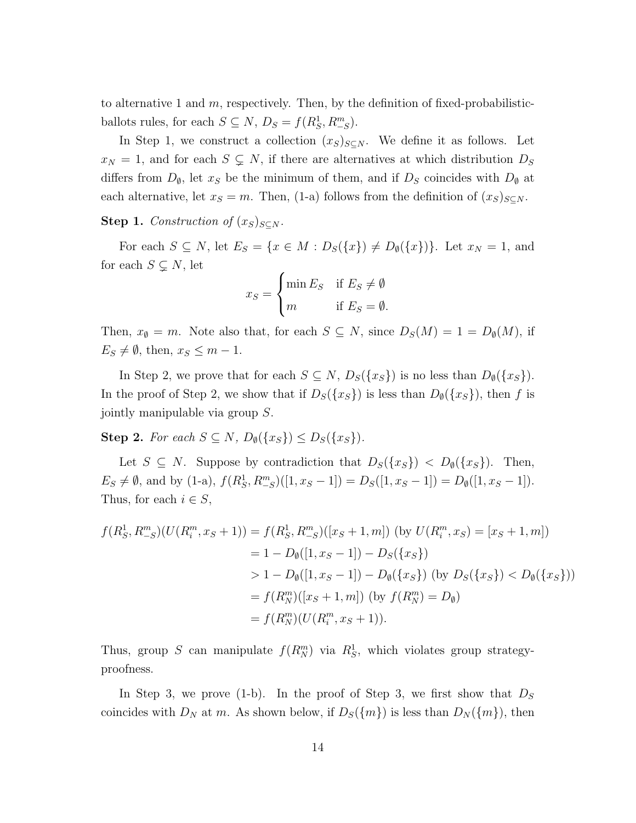to alternative 1 and *m*, respectively. Then, by the definition of fixed-probabilisticballots rules, for each  $S \subseteq N$ ,  $D_S = f(R_S^1, R_{-S}^m)$ .

In Step 1, we construct a collection  $(x_S)_{S \subseteq N}$ . We define it as follows. Let  $x_N = 1$ , and for each  $S \subsetneq N$ , if there are alternatives at which distribution  $D_S$ differs from  $D_{\emptyset}$ , let  $x_S$  be the minimum of them, and if  $D_S$  coincides with  $D_{\emptyset}$  at each alternative, let  $x_S = m$ . Then, (1-a) follows from the definition of  $(x_S)_{S \subseteq N}$ .

**Step 1.** *Construction of*  $(x_S)_{S \subseteq N}$ *.* 

For each  $S \subseteq N$ , let  $E_S = \{x \in M : D_S(\lbrace x \rbrace) \neq D_\emptyset(\lbrace x \rbrace)\}\$ . Let  $x_N = 1$ , and for each  $S \subsetneq N$ , let

$$
x_S = \begin{cases} \min E_S & \text{if } E_S \neq \emptyset \\ m & \text{if } E_S = \emptyset. \end{cases}
$$

Then,  $x_{\emptyset} = m$ . Note also that, for each  $S \subseteq N$ , since  $D_S(M) = 1 = D_{\emptyset}(M)$ , if  $E_S \neq \emptyset$ , then,  $x_S \leq m-1$ .

In Step 2, we prove that for each  $S \subseteq N$ ,  $D_S({x_S})$  is no less than  $D_{\emptyset}({x_S})$ . In the proof of Step 2, we show that if  $D_S({x_S})$  is less than  $D_{\emptyset}({x_S})$ , then *f* is jointly manipulable via group *S*.

**Step 2.** For each  $S \subseteq N$ ,  $D_{\emptyset}(\lbrace x_S \rbrace) \leq D_S(\lbrace x_S \rbrace)$ .

Let  $S \subseteq N$ . Suppose by contradiction that  $D_S({x_S}) < D_{\emptyset}({x_S})$ . Then,  $E_S \neq \emptyset$ , and by (1-a),  $f(R_S^1, R_{-S}^m)([1, x_S - 1]) = D_S([1, x_S - 1]) = D_{\emptyset}([1, x_S - 1]).$ Thus, for each  $i \in S$ ,

$$
f(R_S^1, R_{-S}^m)(U(R_i^m, x_S + 1)) = f(R_S^1, R_{-S}^m)([x_S + 1, m]) \text{ (by } U(R_i^m, x_S) = [x_S + 1, m])
$$
  
= 1 - D<sub>\emptyset</sub>([1, x<sub>S</sub> - 1]) - D<sub>S</sub>(\{x\_S\})  
> 1 - D<sub>\emptyset</sub>([1, x<sub>S</sub> - 1]) - D<sub>\emptyset</sub>(\{x\_S\}) \text{ (by } D<sub>S</sub>(\{x\_S\}) < D<sub>\emptyset</sub>(\{x\_S\}))  
= f(R\_N^m)([x\_S + 1, m]) \text{ (by } f(R\_N^m) = D<sub>\emptyset</sub>)  
= f(R\_N^m)(U(R\_i^m, x\_S + 1)).

Thus, group *S* can manipulate  $f(R_N^m)$  via  $R_S^1$ , which violates group strategyproofness.

In Step 3, we prove (1-b). In the proof of Step 3, we first show that  $D<sub>S</sub>$ coincides with  $D_N$  at *m*. As shown below, if  $D_S({m})$  is less than  $D_N({m})$ , then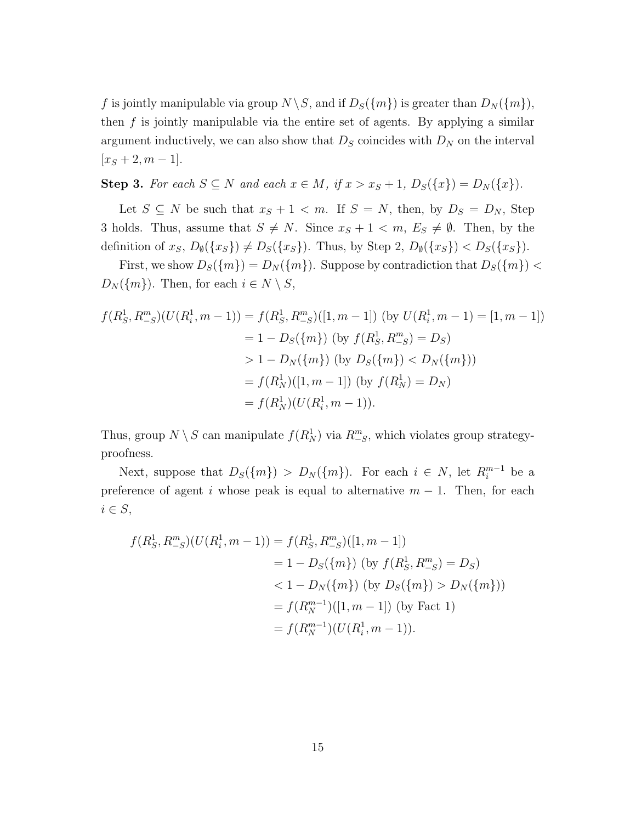*f* is jointly manipulable via group  $N \setminus S$ , and if  $D_S(\lbrace m \rbrace)$  is greater than  $D_N(\lbrace m \rbrace)$ , then *f* is jointly manipulable via the entire set of agents. By applying a similar argument inductively, we can also show that  $D<sub>S</sub>$  coincides with  $D<sub>N</sub>$  on the interval  $[x<sub>S</sub>+2, m-1].$ 

Step 3. For each  $S \subseteq N$  and each  $x \in M$ , if  $x > x_S + 1$ ,  $D_S({x}) = D_N({x}).$ 

Let  $S \subseteq N$  be such that  $x_S + 1 < m$ . If  $S = N$ , then, by  $D_S = D_N$ , Step 3 holds. Thus, assume that  $S \neq N$ . Since  $x_S + 1 \leq m$ ,  $E_S \neq \emptyset$ . Then, by the definition of  $x_S$ ,  $D_{\emptyset}(\{x_S\}) \neq D_S(\{x_S\})$ . Thus, by Step 2,  $D_{\emptyset}(\{x_S\}) < D_S(\{x_S\})$ .

First, we show  $D_S({m}) = D_N({m})$ . Suppose by contradiction that  $D_S({m})$ *D<sub>N</sub>*( $\{m\}$ ). Then, for each  $i \in N \setminus S$ ,

$$
f(R_S^1, R_{-S}^m)(U(R_i^1, m - 1)) = f(R_S^1, R_{-S}^m)([1, m - 1]) \text{ (by } U(R_i^1, m - 1) = [1, m - 1])
$$
  
= 1 - D<sub>S</sub>({m}) (by  $f(R_S^1, R_{-S}^m) = D_S$ )  
> 1 - D<sub>N</sub>({m}) (by D<sub>S</sub>({m})  $> D_N({m})$ )  
=  $f(R_N^1)([1, m - 1])$  (by  $f(R_N^1) = D_N$ )  
=  $f(R_N^1)(U(R_i^1, m - 1)).$ 

Thus, group  $N \setminus S$  can manipulate  $f(R_N^1)$  via  $R_{-S}^m$ , which violates group strategyproofness.

Next, suppose that  $D_S({m}) > D_N({m})$ . For each  $i \in N$ , let  $R_i^{m-1}$  be a preference of agent *i* whose peak is equal to alternative  $m-1$ . Then, for each *i ∈ S*,

$$
f(R_S^1, R_{-S}^m)(U(R_i^1, m - 1)) = f(R_S^1, R_{-S}^m)([1, m - 1])
$$
  
= 1 - D<sub>S</sub>({m}) (by  $f(R_S^1, R_{-S}^m) = D_S$ )  
<  $\langle 1 - D_N(\{m\})$  (by  $D_S(\{m\}) > D_N(\{m\})$ )  
=  $f(R_N^{m-1})([1, m - 1])$  (by Fact 1)  
=  $f(R_N^{m-1})(U(R_i^1, m - 1)).$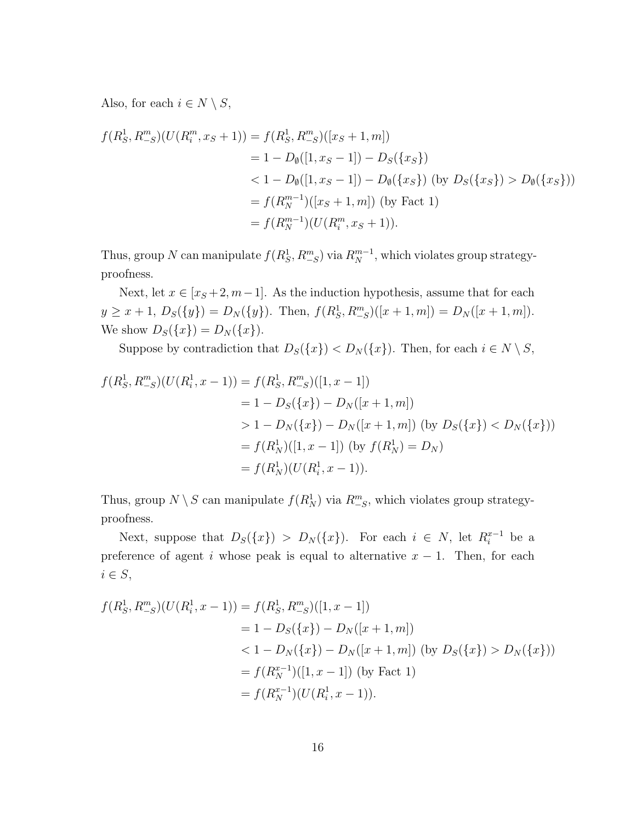Also, for each  $i \in N \setminus S$ ,

$$
f(R_S^1, R_{-S}^m)(U(R_i^m, x_S + 1)) = f(R_S^1, R_{-S}^m)([x_S + 1, m])
$$
  
= 1 - D<sub>\emptyset</sub>([1, x<sub>S</sub> - 1]) - D<sub>S</sub>(\{x<sub>S</sub>\})  
< 1 - D<sub>\emptyset</sub>([1, x<sub>S</sub> - 1]) - D<sub>\emptyset</sub>(\{x<sub>S</sub>\}) (by D<sub>S</sub>(\{x<sub>S</sub>\}) > D<sub>\emptyset</sub>(\{x<sub>S</sub>\}))  
= f(R\_N^{m-1})([x<sub>S</sub> + 1, m]) (by Fact 1)  
= f(R\_N^{m-1})(U(R\_i^m, x<sub>S</sub> + 1)).

Thus, group *N* can manipulate  $f(R_S^1, R_{-S}^m)$  via  $R_N^{m-1}$ , which violates group strategyproofness.

Next, let  $x \in [x_S + 2, m - 1]$ . As the induction hypothesis, assume that for each  $y \ge x + 1$ ,  $D_S({y}) = D_N({y})$ . Then,  $f(R_S^1, R_{-S}^m)([x + 1, m]) = D_N([x + 1, m])$ . We show  $D_S({x}) = D_N({x}).$ 

Suppose by contradiction that  $D_S({x}) < D_N({x})$ . Then, for each  $i \in N \setminus S$ ,

$$
f(R_S^1, R_{-S}^m)(U(R_i^1, x - 1)) = f(R_S^1, R_{-S}^m)([1, x - 1])
$$
  
= 1 - D<sub>S</sub>({x}) - D<sub>N</sub>([x + 1, m])  
> 1 - D<sub>N</sub>({x}) - D<sub>N</sub>([x + 1, m]) (by D<sub>S</sub>({x}) < D<sub>N</sub>({x}))  
= f(R\_N^1)([1, x - 1]) (by f(R\_N^1) = D<sub>N</sub>)  
= f(R\_N^1)(U(R\_i^1, x - 1)).

Thus, group  $N \setminus S$  can manipulate  $f(R_N^1)$  via  $R_{-S}^m$ , which violates group strategyproofness.

Next, suppose that  $D_S({x}) > D_N({x})$ . For each  $i \in N$ , let  $R_i^{x-1}$  be a preference of agent *i* whose peak is equal to alternative  $x - 1$ . Then, for each *i ∈ S*,

$$
f(R_S^1, R_{-S}^m)(U(R_i^1, x - 1)) = f(R_S^1, R_{-S}^m)([1, x - 1])
$$
  
= 1 - D<sub>S</sub>({x}) - D<sub>N</sub>([x + 1, m])  
< 1 - D<sub>N</sub>({x}) - D<sub>N</sub>([x + 1, m]) (by D<sub>S</sub>({x}) > D<sub>N</sub>({x}))  
= f(R<sub>N</sub><sup>x-1</sup>)([1, x - 1]) (by Fact 1)  
= f(R<sub>N</sub><sup>x-1</sup>)(U(R<sub>i</sub><sup>1</sup>, x - 1)).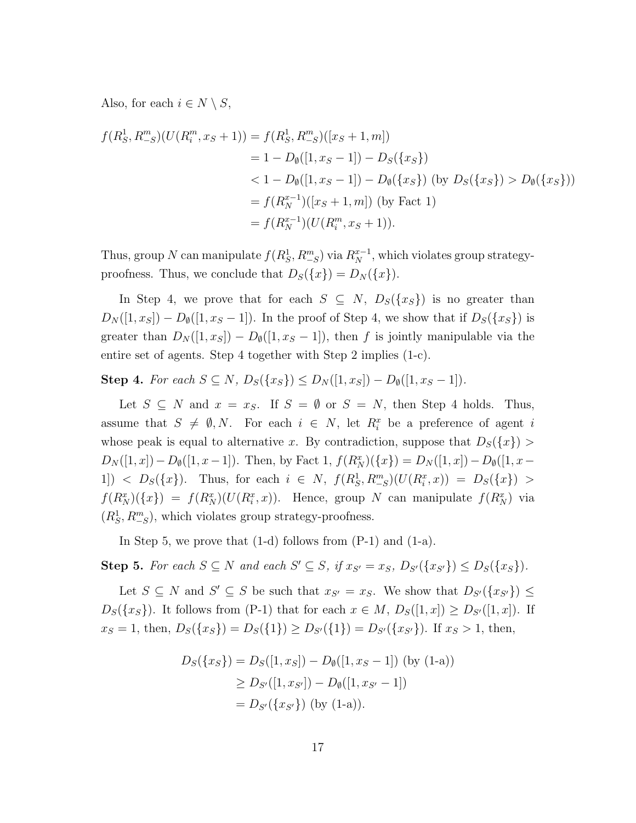Also, for each  $i \in N \setminus S$ ,

$$
f(R_S^1, R_{-S}^m)(U(R_i^m, x_S + 1)) = f(R_S^1, R_{-S}^m)([x_S + 1, m])
$$
  
= 1 - D<sub>0</sub>([1, x<sub>S</sub> - 1]) - D<sub>S</sub>(\{x<sub>S</sub>\})  
< 1 - D<sub>0</sub>([1, x<sub>S</sub> - 1]) - D<sub>0</sub>(\{x<sub>S</sub>\}) (by D<sub>S</sub>(\{x<sub>S</sub>\}) > D<sub>0</sub>(\{x<sub>S</sub>\}))  
= f(R\_N^{x-1})([x<sub>S</sub> + 1, m]) (by Fact 1)  
= f(R\_N^{x-1})(U(R\_i^m, x<sub>S</sub> + 1)).

Thus, group *N* can manipulate  $f(R_S^1, R_{-S}^m)$  via  $R_N^{x-1}$ , which violates group strategyproofness. Thus, we conclude that  $D_S({x}) = D_N({x}).$ 

In Step 4, we prove that for each  $S \subseteq N$ ,  $D_S({x_S})$  is no greater than  $D_N([1, x_S]) - D_{\emptyset}([1, x_S - 1])$ . In the proof of Step 4, we show that if  $D_S({x_S})$  is greater than  $D_N([1, x_S]) - D_{\emptyset}([1, x_S - 1])$ , then *f* is jointly manipulable via the entire set of agents. Step 4 together with Step 2 implies (1-c).

**Step 4.** For each  $S \subseteq N$ ,  $D_S({x_S}) \le D_N([1, x_S]) - D_{\emptyset}([1, x_S - 1]).$ 

Let  $S \subseteq N$  and  $x = x_S$ . If  $S = \emptyset$  or  $S = N$ , then Step 4 holds. Thus, assume that  $S \neq \emptyset, N$ . For each  $i \in N$ , let  $R_i^x$  be a preference of agent *i* whose peak is equal to alternative *x*. By contradiction, suppose that  $D_S({x})$  *>*  $D_N([1, x]) - D_\emptyset([1, x-1])$ . Then, by Fact 1,  $f(R_N^x)(\{x\}) = D_N([1, x]) - D_\emptyset([1, x-1])$ 1]) <  $D_S({x})$ . Thus, for each  $i \in N$ ,  $f(R_S^1, R_{-S}^m)(U(R_i^x, x)) = D_S({x}) >$  $f(R_N^x)(\lbrace x \rbrace) = f(R_N^x)(U(R_i^x, x))$ . Hence, group N can manipulate  $f(R_N^x)$  via  $(R_S^1, R_{-S}^m)$ , which violates group strategy-proofness.

In Step 5, we prove that  $(1-d)$  follows from  $(P-1)$  and  $(1-a)$ .

Step 5. For each  $S \subseteq N$  and each  $S' \subseteq S$ , if  $x_{S'} = x_S$ ,  $D_{S'}(\lbrace x_{S'} \rbrace) \leq D_S(\lbrace x_S \rbrace)$ .

Let  $S \subseteq N$  and  $S' \subseteq S$  be such that  $x_{S'} = x_S$ . We show that  $D_{S'}(\lbrace x_{S'} \rbrace) \leq$ *D*<sub>S</sub>({*x<sub>S</sub>*}). It follows from (P-1) that for each  $x \in M$ ,  $D_S([1, x]) \ge D_{S'}([1, x])$ . If  $x_S = 1$ , then,  $D_S({x_S}) = D_S({1}) \ge D_{S'}({1}) = D_{S'}({x_{S'}})$ . If  $x_S > 1$ , then,

$$
D_S({x_S}) = D_S([1, x_S]) - D_{\emptyset}([1, x_S - 1]) \text{ (by (1-a))}
$$
  
\n
$$
\geq D_{S'}([1, x_{S'}]) - D_{\emptyset}([1, x_{S'} - 1])
$$
  
\n
$$
= D_{S'}({x_{S'}}) \text{ (by (1-a))}.
$$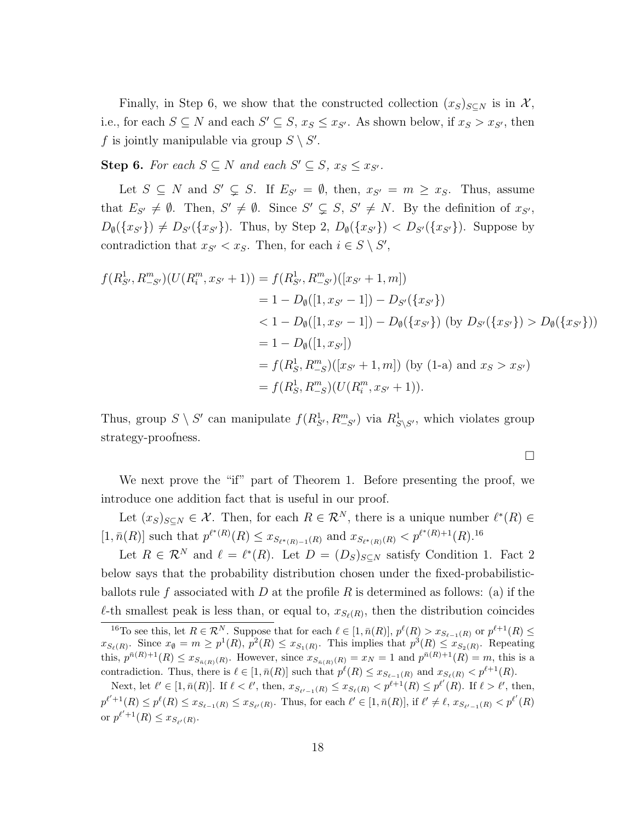Finally, in Step 6, we show that the constructed collection  $(x_S)_{S\subset N}$  is in X, i.e., for each  $S \subseteq N$  and each  $S' \subseteq S$ ,  $x_S \le x_{S'}$ . As shown below, if  $x_S > x_{S'}$ , then *f* is jointly manipulable via group  $S \setminus S'$ .

**Step 6.** *For each*  $S \subseteq N$  *and each*  $S' \subseteq S$ *,*  $x_S \leq x_{S'}$ *.* 

Let  $S \subseteq N$  and  $S' \subseteq S$ . If  $E_{S'} = \emptyset$ , then,  $x_{S'} = m \ge x_S$ . Thus, assume that  $E_{S'} \neq \emptyset$ . Then,  $S' \neq \emptyset$ . Since  $S' \subsetneq S$ ,  $S' \neq N$ . By the definition of  $x_{S'}$ ,  $D_{\emptyset}(\{x_{S'}\}) \neq D_{S'}(\{x_{S'}\})$ . Thus, by Step 2,  $D_{\emptyset}(\{x_{S'}\}) < D_{S'}(\{x_{S'}\})$ . Suppose by contradiction that  $x_{S'} < x_S$ . Then, for each  $i \in S \setminus S'$ ,

$$
f(R_{S'}^1, R_{-S'}^m)(U(R_i^m, x_{S'} + 1)) = f(R_{S'}^1, R_{-S'}^m)([x_{S'} + 1, m])
$$
  
= 1 - D<sub>\emptyset</sub>([1, x\_{S'} - 1]) - D<sub>S'</sub>(\{x\_{S'}\})  
< 1 - D<sub>\emptyset</sub>([1, x\_{S'} - 1]) - D<sub>\emptyset</sub>(\{x\_{S'}\}) (by D<sub>S'</sub>(\{x\_{S'}\}) > D<sub>\emptyset</sub>(\{x\_{S'}\})  
= 1 - D<sub>\emptyset</sub>([1, x\_{S'}])  
= f(R\_S^1, R\_{-S}^m)([x\_{S'} + 1, m]) (by (1-a) and x\_S > x\_{S'})  
= f(R\_S^1, R\_{-S}^m)(U(R\_i^m, x\_{S'} + 1)).

Thus, group  $S \setminus S'$  can manipulate  $f(R_{S'}^1, R_{-S'}^m)$  via  $R_{S \setminus S'}^1$ , which violates group strategy-proofness.

 $\Box$ 

We next prove the "if" part of Theorem 1. Before presenting the proof, we introduce one addition fact that is useful in our proof.

Let  $(x_S)_{S \subseteq N} \in \mathcal{X}$ . Then, for each  $R \in \mathcal{R}^N$ , there is a unique number  $\ell^*(R) \in$  $[1, \bar{n}(R)]$  such that  $p^{\ell^*(R)}(R) \leq x_{S_{\ell^*(R)-1}(R)}$  and  $x_{S_{\ell^*(R)}(R)} < p^{\ell^*(R)+1}(R)$ .<sup>16</sup>

Let  $R \in \mathcal{R}^N$  and  $\ell = \ell^*(R)$ . Let  $D = (D_S)_{S \subseteq N}$  satisfy Condition 1. Fact 2 below says that the probability distribution chosen under the fixed-probabilisticballots rule *f* associated with *D* at the profile *R* is determined as follows: (a) if the  $\ell$ -th smallest peak is less than, or equal to,  $x_{S_{\ell}(R)}$ , then the distribution coincides

<sup>&</sup>lt;sup>16</sup>To see this, let  $R \in \mathcal{R}^N$ . Suppose that for each  $\ell \in [1, \bar{n}(R)]$ ,  $p^{\ell}(R) > x_{S_{\ell-1}(R)}$  or  $p^{\ell+1}(R) \le$  $x_{S_{\ell}(R)}$ . Since  $x_{\emptyset} = m \ge p^1(R)$ ,  $p^2(R) \le x_{S_1(R)}$ . This implies that  $p^3(R) \le x_{S_2(R)}$ . Repeating this,  $p^{\bar{n}(R)+1}(R) \leq x_{S_{\bar{n}(R)}(R)}$ . However, since  $x_{S_{\bar{n}(R)}(R)} = x_N = 1$  and  $p^{\bar{n}(R)+1}(R) = m$ , this is a contradiction. Thus, there is  $\ell \in [1, \bar{n}(R)]$  such that  $p^{\ell}(R) \leq x_{S_{\ell-1}(R)}$  and  $x_{S_{\ell}(R)} < p^{\ell+1}(R)$ .

Next, let  $\ell' \in [1, \bar{n}(R)]$ . If  $\ell < \ell'$ , then,  $x_{S_{\ell'-1}(R)} \le x_{S_{\ell}(R)} < p^{\ell+1}(R) \le p^{\ell'}(R)$ . If  $\ell > \ell'$ , then,  $p^{\ell'+1}(R) \leq p^{\ell}(R) \leq x_{S_{\ell-1}(R)} \leq x_{S_{\ell'}(R)}$ . Thus, for each  $\ell' \in [1, \bar{n}(R)]$ , if  $\ell' \neq \ell$ ,  $x_{S_{\ell'-1}(R)} < p^{\ell'}(R)$ or  $p^{\ell'+1}(R) \leq x_{S_{\ell'}(R)}$ .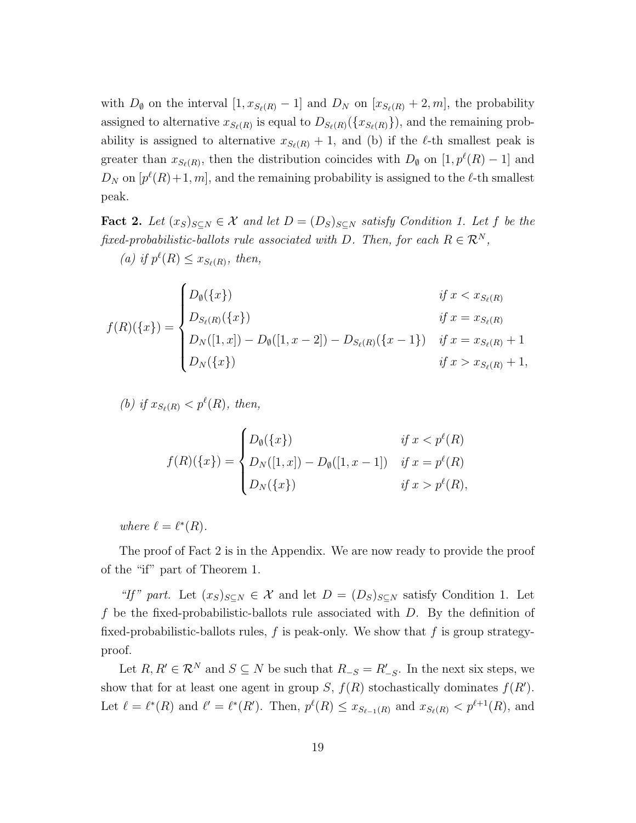with  $D_{\emptyset}$  on the interval  $[1, x_{S_{\ell}(R)} - 1]$  and  $D_N$  on  $[x_{S_{\ell}(R)} + 2, m]$ , the probability assigned to alternative  $x_{S_{\ell}(R)}$  is equal to  $D_{S_{\ell}(R)}(\{x_{S_{\ell}(R)}\})$ , and the remaining probability is assigned to alternative  $x_{S_{\ell}(R)} + 1$ , and (b) if the  $\ell$ -th smallest peak is greater than  $x_{S_{\ell}(R)}$ , then the distribution coincides with  $D_{\emptyset}$  on  $[1, p^{\ell}(R) - 1]$  and  $D_N$  on  $[p^{\ell}(R)+1, m]$ , and the remaining probability is assigned to the  $\ell$ -th smallest peak.

Fact 2. Let  $(x_S)_{S \subseteq N} \in \mathcal{X}$  and let  $D = (D_S)_{S \subseteq N}$  satisfy Condition 1. Let f be the *fixed-probabilistic-ballots rule associated with D. Then, for each*  $R \in \mathbb{R}^N$ ,

(*a*) *if*  $p^{\ell}(R) \le x_{S_{\ell}(R)}$ , *then,* 

$$
f(R)(\{x\}) = \begin{cases} D_{\emptyset}(\{x\}) & \text{if } x < x_{S_{\ell}(R)} \\ D_{S_{\ell}(R)}(\{x\}) & \text{if } x = x_{S_{\ell}(R)} \\ D_{N}([1, x]) - D_{\emptyset}([1, x - 2]) - D_{S_{\ell}(R)}(\{x - 1\}) & \text{if } x = x_{S_{\ell}(R)} + 1 \\ D_{N}(\{x\}) & \text{if } x > x_{S_{\ell}(R)} + 1, \end{cases}
$$

*(b) if*  $x_{S_\ell(R)} < p^\ell(R)$ *, then,* 

$$
f(R)(\{x\}) = \begin{cases} D_{\emptyset}(\{x\}) & \text{if } x < p^{\ell}(R) \\ D_N([1, x]) - D_{\emptyset}([1, x - 1]) & \text{if } x = p^{\ell}(R) \\ D_N(\{x\}) & \text{if } x > p^{\ell}(R), \end{cases}
$$

*where*  $\ell = \ell^*(R)$ *.* 

The proof of Fact 2 is in the Appendix. We are now ready to provide the proof of the "if" part of Theorem 1.

*"If"* part. Let  $(x_S)_{S \subseteq N} \in \mathcal{X}$  and let  $D = (D_S)_{S \subseteq N}$  satisfy Condition 1. Let *f* be the fixed-probabilistic-ballots rule associated with *D*. By the definition of fixed-probabilistic-ballots rules, *f* is peak-only. We show that *f* is group strategyproof.

Let  $R, R' \in \mathbb{R}^N$  and  $S \subseteq N$  be such that  $R_{-S} = R'_{-S}$ . In the next six steps, we show that for at least one agent in group *S*,  $f(R)$  stochastically dominates  $f(R')$ . Let  $\ell = \ell^*(R)$  and  $\ell' = \ell^*(R')$ . Then,  $p^{\ell}(R) \leq x_{S_{\ell-1}(R)}$  and  $x_{S_{\ell}(R)} < p^{\ell+1}(R)$ , and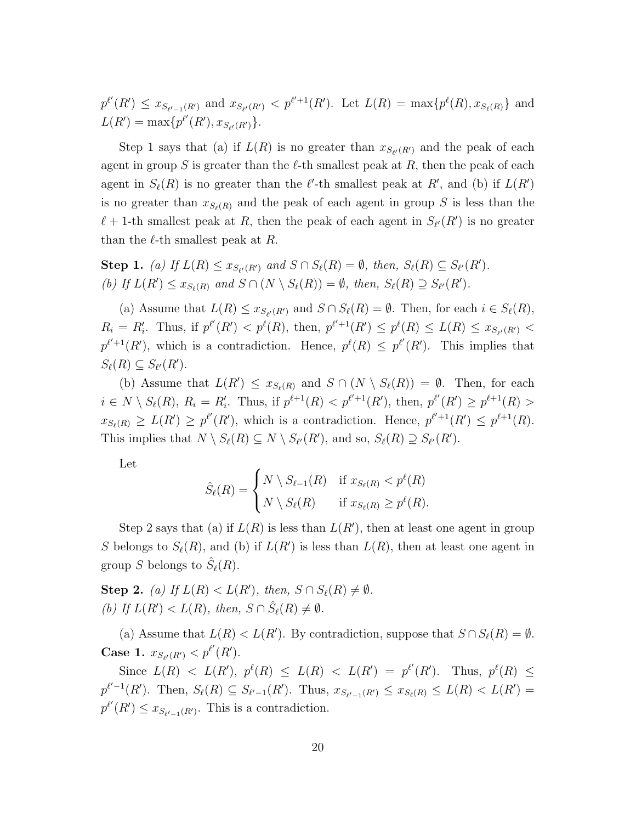$p^{\ell'}(R') \leq x_{S_{\ell'-1}(R')}$  and  $x_{S_{\ell'}(R')} < p^{\ell'+1}(R')$ . Let  $L(R) = \max\{p^{\ell}(R), x_{S_{\ell}(R)}\}$  and  $L(R') = \max\{p^{\ell'}(R'), x_{S_{\ell'}(R')}\}.$ 

Step 1 says that (a) if  $L(R)$  is no greater than  $x_{S_{\ell'}(R')}$  and the peak of each agent in group S is greater than the  $\ell$ -th smallest peak at R, then the peak of each agent in  $S_{\ell}(R)$  is no greater than the  $\ell'$ -th smallest peak at  $R'$ , and (b) if  $L(R')$ is no greater than  $x_{S_{\ell}(R)}$  and the peak of each agent in group *S* is less than the  $\ell + 1$ -th smallest peak at *R*, then the peak of each agent in  $S_{\ell'}(R')$  is no greater than the *ℓ*-th smallest peak at *R*.

**Step 1.** (a) If  $L(R) \le x_{S_{\ell'}(R')}$  and  $S \cap S_{\ell}(R) = \emptyset$ , then,  $S_{\ell}(R) \subseteq S_{\ell'}(R')$ . (b) If  $L(R') \leq x_{S_{\ell}(R)}$  and  $S \cap (N \setminus S_{\ell}(R)) = \emptyset$ , then,  $S_{\ell}(R) \supseteq S_{\ell'}(R')$ .

(a) Assume that  $L(R) \le x_{S_{\ell'}(R')}$  and  $S \cap S_{\ell}(R) = \emptyset$ . Then, for each  $i \in S_{\ell}(R)$ ,  $R_i = R'_i$ . Thus, if  $p^{\ell'}(R') < p^{\ell}(R)$ , then,  $p^{\ell'+1}(R') \le p^{\ell}(R) \le L(R) \le x_{S_{\ell'}(R')}$  $p^{\ell'+1}(R')$ , which is a contradiction. Hence,  $p^{\ell}(R) \leq p^{\ell'}(R')$ . This implies that  $S_{\ell}(R) \subseteq S_{\ell'}(R').$ 

(b) Assume that  $L(R') \leq x_{S_{\ell}(R)}$  and  $S \cap (N \setminus S_{\ell}(R)) = \emptyset$ . Then, for each  $i \in N \setminus S_{\ell}(R)$ ,  $R_i = R'_i$ . Thus, if  $p^{\ell+1}(R) < p^{\ell'+1}(R')$ , then,  $p^{\ell'}(R') \geq p^{\ell+1}(R) >$  $x_{S_{\ell}(R)} \geq L(R') \geq p^{\ell'}(R')$ , which is a contradiction. Hence,  $p^{\ell'+1}(R') \leq p^{\ell+1}(R)$ . This implies that  $N \setminus S_{\ell}(R) \subseteq N \setminus S_{\ell'}(R')$ , and so,  $S_{\ell}(R) \supseteq S_{\ell'}(R')$ .

Let

$$
\hat{S}_{\ell}(R) = \begin{cases} N \setminus S_{\ell-1}(R) & \text{if } x_{S_{\ell}(R)} < p^{\ell}(R) \\ N \setminus S_{\ell}(R) & \text{if } x_{S_{\ell}(R)} \ge p^{\ell}(R). \end{cases}
$$

Step 2 says that (a) if  $L(R)$  is less than  $L(R')$ , then at least one agent in group *S* belongs to  $S_{\ell}(R)$ , and (b) if  $L(R')$  is less than  $L(R)$ , then at least one agent in group *S* belongs to  $\hat{S}_{\ell}(R)$ .

**Step 2.** *(a) If*  $L(R) < L(R')$ *, then,*  $S \cap S_{\ell}(R) \neq \emptyset$ *. (b) If*  $L(R') < L(R)$ *, then,*  $S \cap \hat{S}_{\ell}(R) \neq \emptyset$ *.* 

(a) Assume that  $L(R) < L(R')$ . By contradiction, suppose that  $S \cap S_{\ell}(R) = \emptyset$ . **Case 1.**  $x_{S_{\ell'}(R')} < p^{\ell'}(R')$ .

Since  $L(R) < L(R')$ ,  $p^{\ell}(R) \le L(R) < L(R') = p^{\ell'}(R')$ . Thus,  $p^{\ell}(R) \le$  $p^{\ell'-1}(R')$ . Then,  $S_{\ell}(R) \subseteq S_{\ell'-1}(R')$ . Thus,  $x_{S_{\ell'-1}(R')} \leq x_{S_{\ell}(R)} \leq L(R) < L(R')$  $p^{\ell'}(R') \leq x_{S_{\ell'-1}(R')}$ . This is a contradiction.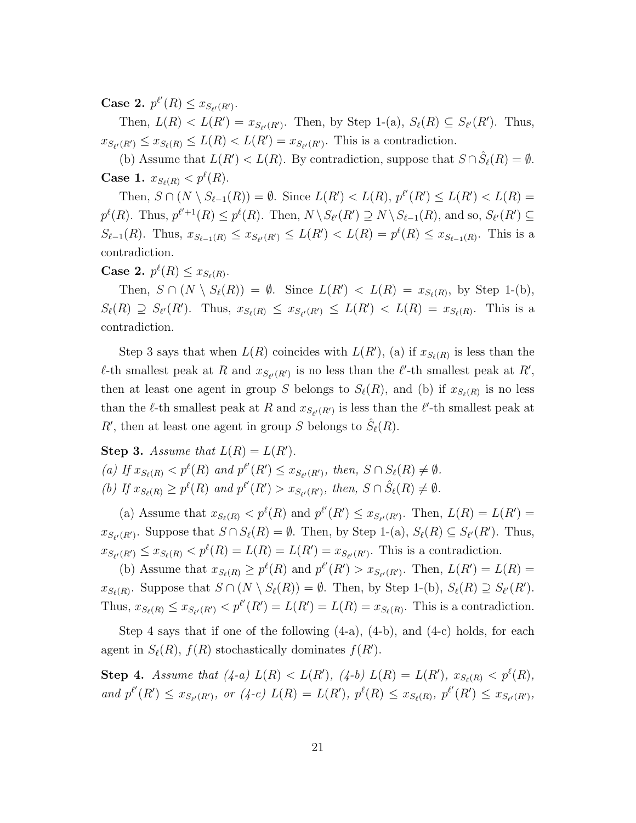**Case 2.**  $p^{\ell'}(R) \leq x_{S_{\ell'}(R')}$ .

Then,  $L(R) < L(R') = x_{S_{\ell'}(R')}$ . Then, by Step 1-(a),  $S_{\ell}(R) \subseteq S_{\ell'}(R')$ . Thus,  $x_{S_{\ell'}(R')} \le x_{S_{\ell}(R)} \le L(R) < L(R') = x_{S_{\ell'}(R')}$ . This is a contradiction.

(b) Assume that  $L(R') < L(R)$ . By contradiction, suppose that  $S \cap \hat{S}_{\ell}(R) = \emptyset$ . **Case 1.**  $x_{S_{\ell}(R)} < p^{\ell}(R)$ .

Then,  $S \cap (N \setminus S_{\ell-1}(R)) = \emptyset$ . Since  $L(R') < L(R)$ ,  $p^{\ell'}(R') \leq L(R') < L(R)$  $p^{\ell}(R)$ . Thus,  $p^{\ell'+1}(R) \leq p^{\ell}(R)$ . Then,  $N \setminus S_{\ell'}(R') \supseteq N \setminus S_{\ell-1}(R)$ , and so,  $S_{\ell'}(R') \subseteq$  $S_{\ell-1}(R)$ . Thus,  $x_{S_{\ell-1}(R)} \le x_{S_{\ell'}(R')} \le L(R') < L(R) = p^{\ell}(R) \le x_{S_{\ell-1}(R)}$ . This is a contradiction.

**Case 2.**  $p^{\ell}(R) \leq x_{S_{\ell}(R)}$ .

Then,  $S \cap (N \setminus S_{\ell}(R)) = \emptyset$ . Since  $L(R') < L(R) = x_{S_{\ell}(R)}$ , by Step 1-(b),  $S_{\ell}(R) \supseteq S_{\ell'}(R')$ . Thus,  $x_{S_{\ell}(R)} \leq x_{S_{\ell'}(R')} \leq L(R') < L(R) = x_{S_{\ell}(R)}$ . This is a contradiction.

Step 3 says that when  $L(R)$  coincides with  $L(R')$ , (a) if  $x_{S_{\ell}(R)}$  is less than the  $\ell$ -th smallest peak at *R* and  $x_{S_{\ell'}(R')}$  is no less than the  $\ell'$ -th smallest peak at *R'*, then at least one agent in group *S* belongs to  $S_{\ell}(R)$ , and (b) if  $x_{S_{\ell}(R)}$  is no less than the  $\ell$ -th smallest peak at *R* and  $x_{S_{\ell'}(R')}$  is less than the  $\ell'$ -th smallest peak at *R*<sup>*'*</sup>, then at least one agent in group *S* belongs to  $\hat{S}_{\ell}(R)$ .

**Step 3.** *Assume that*  $L(R) = L(R')$ *.* (a) If  $x_{S_{\ell}(R)} < p^{\ell}(R)$  and  $p^{\ell'}(R') \le x_{S_{\ell'}(R')}$ , then,  $S \cap S_{\ell}(R) \neq \emptyset$ .

(b) If  $x_{S_{\ell}(R)} \ge p^{\ell}(R)$  and  $p^{\ell'}(R') > x_{S_{\ell'}(R')}$ , then,  $S \cap \hat{S}_{\ell}(R) \neq \emptyset$ .

(a) Assume that  $x_{S_{\ell}(R)} < p^{\ell}(R)$  and  $p^{\ell'}(R') \le x_{S_{\ell'}(R')}$ . Then,  $L(R) = L(R')$  $x_{S_{\ell'}(R')}$ . Suppose that  $S \cap S_{\ell}(R) = \emptyset$ . Then, by Step 1-(a),  $S_{\ell}(R) \subseteq S_{\ell'}(R')$ . Thus,  $x_{S_{\ell'}(R')} \le x_{S_{\ell}(R)} < p^{\ell}(R) = L(R) = L(R') = x_{S_{\ell'}(R')}$ . This is a contradiction.

(b) Assume that  $x_{S_{\ell}(R)} \ge p^{\ell}(R)$  and  $p^{\ell'}(R') > x_{S_{\ell'}(R')}$ . Then,  $L(R') = L(R) =$  $x_{S_{\ell}(R)}$ . Suppose that  $S \cap (N \setminus S_{\ell}(R)) = \emptyset$ . Then, by Step 1-(b),  $S_{\ell}(R) \supseteq S_{\ell'}(R')$ . Thus,  $x_{S_{\ell}(R)} \le x_{S_{\ell'}(R')} < p^{\ell'}(R') = L(R') = L(R) = x_{S_{\ell}(R)}$ . This is a contradiction.

Step 4 says that if one of the following  $(4-a)$ ,  $(4-b)$ , and  $(4-c)$  holds, for each agent in  $S_{\ell}(R)$ ,  $f(R)$  stochastically dominates  $f(R')$ .

**Step 4.** Assume that  $(4-a) L(R) < L(R')$ ,  $(4-b) L(R) = L(R')$ ,  $x_{S_{\ell}(R)} < p^{\ell}(R)$ , and  $p^{\ell'}(R') \leq x_{S_{\ell'}(R')}$ , or  $(4-c) L(R) = L(R')$ ,  $p^{\ell}(R) \leq x_{S_{\ell}(R)}$ ,  $p^{\ell'}(R') \leq x_{S_{\ell'}(R')}$ ,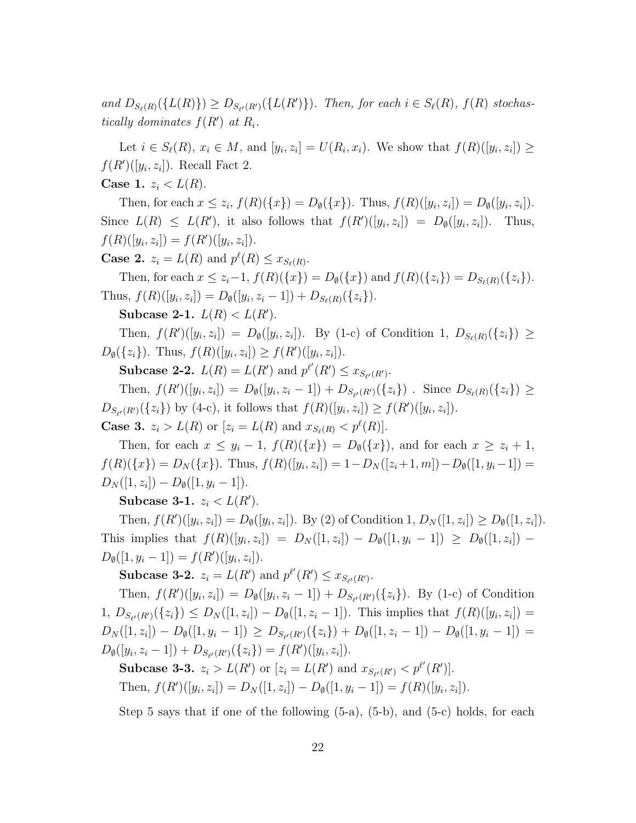and  $D_{S_{\ell}(R)}(\{L(R)\}) \geq D_{S_{\ell}(R')}(\{L(R')\})$ . Then, for each  $i \in S_{\ell}(R)$ ,  $f(R)$  stochas*tically dominates*  $f(R')$  *at*  $R_i$ .

Let  $i \in S_{\ell}(R)$ ,  $x_i \in M$ , and  $[y_i, z_i] = U(R_i, x_i)$ . We show that  $f(R)([y_i, z_i]) \ge$  $f(R')([y_i, z_i])$ . Recall Fact 2.

**Case 1.**  $z_i < L(R)$ .

Then, for each  $x \le z_i$ ,  $f(R)(\{x\}) = D_{\emptyset}(\{x\})$ . Thus,  $f(R)([y_i, z_i]) = D_{\emptyset}([y_i, z_i])$ . Since  $L(R) \leq L(R')$ , it also follows that  $f(R')([y_i, z_i]) = D_{\emptyset}([y_i, z_i])$ ]). Thus,  $f(R)([y_i, z_i]) = f(R')([y_i, z_i]).$ 

**Case 2.**  $z_i = L(R)$  and  $p^{\ell}(R) \le x_{S_{\ell}(R)}$ .

Then, for each  $x \leq z_i-1$ ,  $f(R)(\{x\}) = D_{\emptyset}(\{x\})$  and  $f(R)(\{z_i\}) = D_{S_{\emptyset}(R)}(\{z_i\}).$ Thus,  $f(R)([y_i, z_i]) = D_{\emptyset}([y_i, z_i - 1]) + D_{S_{\ell}(R)}(\{z_i\}).$ 

**Subcase 2-1.**  $L(R) < L(R')$ .

Then,  $f(R')([y_i, z_i]) = D_{\emptyset}([y_i, z_i])$ . By (1-c) of Condition 1,  $D_{S_{\ell}(R)}(\{z_i\}) \ge$  $D_{\emptyset}(\{z_i\})$ . Thus,  $f(R)([y_i, z_i]) \geq f(R')([y_i, z_i])$ .

**Subcase 2-2.**  $L(R) = L(R')$  and  $p^{l'}(R') \le x_{S_{l'}(R')}$ .

Then,  $f(R')([y_i, z_i]) = D_{\emptyset}([y_i, z_i - 1]) + D_{S_{\ell'}(R')}(\{z_i\})$ . Since  $D_{S_{\ell}(R)}(\{z_i\}) \ge$  $D_{S_{\ell'}(R')}(\{z_i\})$  by (4-c), it follows that  $f(R)([y_i, z_i]) \ge f(R')([y_i, z_i]).$ 

**Case 3.**  $z_i > L(R)$  or  $[z_i = L(R) \text{ and } x_{S_{\ell}(R)} < p^{\ell}(R)]$ .

Then, for each  $x \leq y_i - 1$ ,  $f(R)(\{x\}) = D_\emptyset(\{x\})$ , and for each  $x \geq z_i + 1$ ,  $f(R)(\lbrace x \rbrace) = D_N(\lbrace x \rbrace)$ . Thus,  $f(R)([y_i, z_i]) = 1 - D_N([z_i + 1, m]) - D_\emptyset([1, y_i - 1]) =$  $D_N([1, z_i]) - D_{\emptyset}([1, y_i - 1]).$ 

**Subcase 3-1.**  $z_i < L(R')$ .

Then,  $f(R')([y_i, z_i]) = D_{\emptyset}([y_i, z_i])$ . By (2) of Condition 1,  $D_N([1, z_i]) \geq D_{\emptyset}([1, z_i])$ . This implies that  $f(R)([y_i, z_i]) = D_N([1, z_i]) - D_\emptyset([1, y_i - 1]) \geq D_\emptyset([1, z_i]) D_{\emptyset}([1, y_i - 1]) = f(R')([y_i, z_i]).$ 

**Subcase 3-2.**  $z_i = L(R')$  and  $p^{\ell'}(R') \le x_{S_{\ell'}(R')}$ .

Then,  $f(R')([y_i, z_i]) = D_{\emptyset}([y_i, z_i - 1]) + D_{S_{\ell'}(R')}(\{z_i\})$ . By (1-c) of Condition  $1, D_{S_{\ell'}(R')}(\{z_i\}) \leq D_N([1, z_i]) - D_{\emptyset}([1, z_i - 1]).$  This implies that  $f(R)([y_i, z_i]) =$  $D_N([1,z_i]) - D_\emptyset([1,y_i-1]) \ge D_{S_{\ell'}(R')}(\{z_i\}) + D_\emptyset([1,z_i-1]) - D_\emptyset([1,y_i-1]) =$  $D_{\emptyset}([y_i, z_i - 1]) + D_{S_{\ell'}(R')}(\{z_i\}) = f(R')([y_i, z_i]).$ 

**Subcase 3-3.**  $z_i > L(R')$  or  $[z_i = L(R')$  and  $x_{S_{\ell'}(R')} < p^{\ell'}(R')$ . Then,  $f(R')([y_i, z_i]) = D_N([1, z_i]) - D_{\emptyset}([1, y_i - 1]) = f(R)([y_i, z_i]).$ 

Step 5 says that if one of the following (5-a), (5-b), and (5-c) holds, for each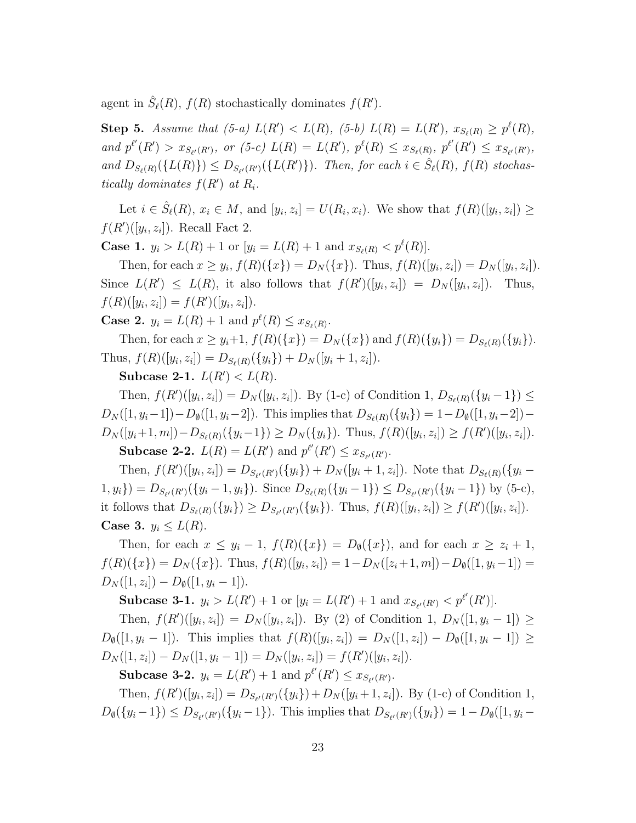agent in  $\hat{S}_{\ell}(R)$ ,  $f(R)$  stochastically dominates  $f(R')$ .

**Step 5.** Assume that (5-a)  $L(R') < L(R)$ , (5-b)  $L(R) = L(R')$ ,  $x_{S_{\ell}(R)} \ge p^{\ell}(R)$ , and  $p^{\ell'}(R') > x_{S_{\ell'}(R')}$ , or (5-c)  $L(R) = L(R')$ ,  $p^{\ell}(R) \le x_{S_{\ell}(R)}$ ,  $p^{\ell'}(R') \le x_{S_{\ell'}(R')}$ , and  $D_{S_{\ell}(R)}(\lbrace L(R) \rbrace) \leq D_{S_{\ell}(R')}(\lbrace L(R') \rbrace)$ . Then, for each  $i \in \hat{S}_{\ell}(R)$ ,  $f(R)$  stochas*tically dominates*  $f(R')$  *at*  $R_i$ .

Let  $i \in \hat{S}_{\ell}(R)$ ,  $x_i \in M$ , and  $[y_i, z_i] = U(R_i, x_i)$ . We show that  $f(R)([y_i, z_i]) \ge$  $f(R')([y_i, z_i])$ . Recall Fact 2.

**Case 1.**  $y_i > L(R) + 1$  or  $[y_i = L(R) + 1$  and  $x_{S_{\ell}(R)} < p^{\ell}(R)$ .

Then, for each  $x \ge y_i$ ,  $f(R)(\{x\}) = D_N(\{x\})$ . Thus,  $f(R)([y_i, z_i]) = D_N([y_i, z_i])$ . Since  $L(R') \leq L(R)$ , it also follows that  $f(R')([y_i, z_i]) = D_N([y_i, z_i])$ . Thus,  $f(R)([y_i, z_i]) = f(R')([y_i, z_i]).$ 

**Case 2.**  $y_i = L(R) + 1$  and  $p^{\ell}(R) \le x_{S_{\ell}(R)}$ .

Then, for each  $x \geq y_i+1$ ,  $f(R)(\{x\}) = D_N(\{x\})$  and  $f(R)(\{y_i\}) = D_{S_{\ell}(R)}(\{y_i\}).$ Thus,  $f(R)([y_i, z_i]) = D_{S_{\ell}(R)}(\{y_i\}) + D_N([y_i + 1, z_i]).$ 

**Subcase 2-1.**  $L(R') < L(R)$ .

Then,  $f(R')([y_i, z_i]) = D_N([y_i, z_i])$ . By (1-c) of Condition 1,  $D_{S_{\ell}(R)}(\{y_i - 1\}) \le$  $D_N([1, y_i-1])-D_{\emptyset}([1, y_i-2]).$  This implies that  $D_{S_{\ell}(R)}(\{y_i\})=1-D_{\emptyset}([1, y_i-2]) D_N([y_i+1,m])-D_{S_{\ell}(R)}(\{y_i-1\}) \geq D_N(\{y_i\}).$  Thus,  $f(R)([y_i,z_i]) \geq f(R')([y_i,z_i]).$ **Subcase 2-2.**  $L(R) = L(R')$  and  $p^{l'}(R') \le x_{S_{l'}(R')}$ .

Then,  $f(R')([y_i, z_i]) = D_{S_{\ell'}(R')}(\{y_i\}) + D_N([y_i + 1, z_i])$ . Note that  $D_{S_{\ell}(R)}(\{y_i (1, y_i) = D_{S_{\ell'}(R')}(\{y_i - 1, y_i\})$ . Since  $D_{S_{\ell}(R)}(\{y_i - 1\}) \le D_{S_{\ell'}(R')}(\{y_i - 1\})$  by (5-c), it follows that  $D_{S_{\ell}(R)}(\{y_i\}) \geq D_{S_{\ell'}(R')}(\{y_i\})$ . Thus,  $f(R)([y_i, z_i]) \geq f(R')([y_i, z_i])$ . **Case 3.**  $y_i \leq L(R)$ .

Then, for each  $x \leq y_i - 1$ ,  $f(R)(\{x\}) = D_\emptyset(\{x\})$ , and for each  $x \geq z_i + 1$ ,  $f(R)(\lbrace x \rbrace) = D_N(\lbrace x \rbrace)$ . Thus,  $f(R)([y_i, z_i]) = 1 - D_N([z_i + 1, m]) - D_\emptyset([1, y_i - 1]) =$  $D_N([1, z_i]) - D_{\emptyset}([1, y_i - 1]).$ 

**Subcase 3-1.**  $y_i > L(R') + 1$  or  $[y_i = L(R') + 1$  and  $x_{S_{\ell'}(R')} < p^{\ell'}(R')$ .

Then,  $f(R')([y_i, z_i]) = D_N([y_i, z_i])$ . By (2) of Condition 1,  $D_N([1, y_i - 1]) \ge$  $D_{\emptyset}([1, y_i - 1])$ . This implies that  $f(R)([y_i, z_i]) = D_N([1, z_i]) - D_{\emptyset}([1, y_i - 1]) \ge$  $D_N([1, z_i]) - D_N([1, y_i - 1]) = D_N([y_i, z_i]) = f(R')([y_i, z_i]).$ 

**Subcase 3-2.**  $y_i = L(R') + 1$  and  $p^{\ell'}(R') \le x_{S_{\ell'}(R')}$ .

Then,  $f(R')([y_i, z_i]) = D_{S_{\ell'}(R')}(\{y_i\}) + D_N([y_i + 1, z_i])$ . By (1-c) of Condition 1,  $D_{\emptyset}(\{y_i-1\}) \leq D_{S_{\ell'}(R')}(\{y_i-1\})$ . This implies that  $D_{S_{\ell'}(R')}(\{y_i\}) = 1 - D_{\emptyset}([1, y_i-1])$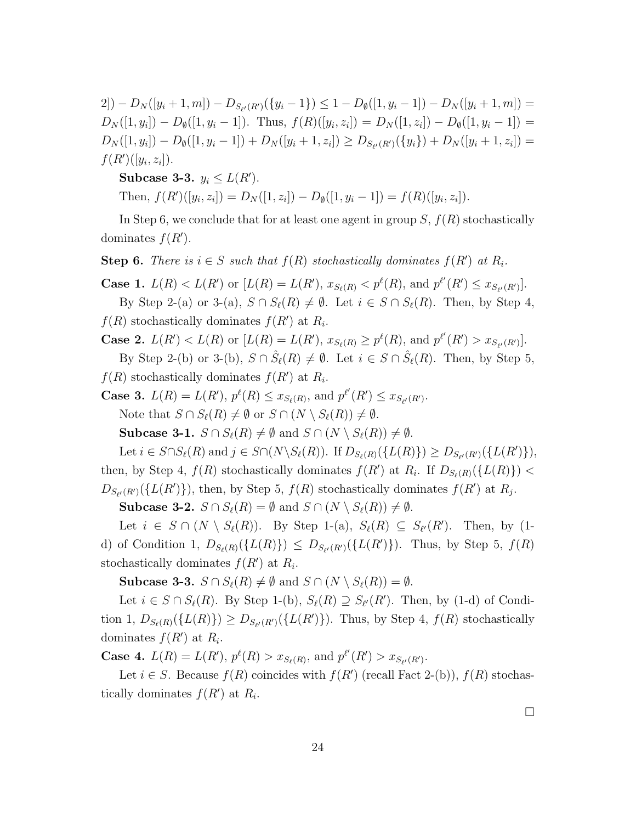2])  $-D_N([y_i+1,m]) - D_{S_{\ell'}(R')}(\{y_i-1\}) \leq 1 - D_{\emptyset}([1,y_i-1]) - D_N([y_i+1,m]) =$  $D_N([1, y_i]) - D_\emptyset([1, y_i - 1]).$  Thus,  $f(R)([y_i, z_i]) = D_N([1, z_i]) - D_\emptyset([1, y_i - 1]) =$  $D_N([1, y_i]) - D_\emptyset([1, y_i - 1]) + D_N([y_i + 1, z_i]) \geq D_{S_{\ell'}(R')}(\{y_i\}) + D_N([y_i + 1, z_i]) =$  $f(R')([y_i, z_i]).$ 

**Subcase 3-3.**  $y_i \leq L(R')$ .

Then,  $f(R')([y_i, z_i]) = D_N([1, z_i]) - D_{\emptyset}([1, y_i - 1]) = f(R)([y_i, z_i]).$ 

In Step 6, we conclude that for at least one agent in group *S*, *f*(*R*) stochastically dominates  $f(R')$ .

**Step 6.** *There is*  $i \in S$  *such that*  $f(R)$  *stochastically dominates*  $f(R')$  *at*  $R_i$ *.* 

**Case 1.**  $L(R) < L(R')$  or  $[L(R) = L(R'), x_{S_{\ell}(R)} < p^{\ell}(R),$  and  $p^{\ell'}(R') \le x_{S_{\ell'}(R')}$ . By Step 2-(a) or 3-(a),  $S \cap S_{\ell}(R) \neq \emptyset$ . Let  $i \in S \cap S_{\ell}(R)$ . Then, by Step 4,  $f(R)$  stochastically dominates  $f(R')$  at  $R_i$ .

**Case 2.**  $L(R') < L(R)$  or  $[L(R) = L(R')$ ,  $x_{S_{\ell}(R)} \ge p^{\ell}(R)$ , and  $p^{\ell'}(R') > x_{S_{\ell'}(R')}$ . By Step 2-(b) or 3-(b),  $S \cap \hat{S}_{\ell}(R) \neq \emptyset$ . Let  $i \in S \cap \hat{S}_{\ell}(R)$ . Then, by Step 5,

 $f(R)$  stochastically dominates  $f(R')$  at  $R_i$ .

**Case 3.**  $L(R) = L(R')$ ,  $p^{\ell}(R) \le x_{S_{\ell}(R)}$ , and  $p^{\ell'}(R') \le x_{S_{\ell'}(R')}$ . Note that  $S \cap S_{\ell}(R) \neq \emptyset$  or  $S \cap (N \setminus S_{\ell}(R)) \neq \emptyset$ .

**Subcase 3-1.**  $S \cap S_{\ell}(R) \neq \emptyset$  and  $S \cap (N \setminus S_{\ell}(R)) \neq \emptyset$ .

Let  $i \in S \cap S_{\ell}(R)$  and  $j \in S \cap (N \setminus S_{\ell}(R))$ . If  $D_{S_{\ell}(R)}(\{L(R)\}) \geq D_{S_{\ell}(R')}(\{L(R')\}),$ then, by Step 4,  $f(R)$  stochastically dominates  $f(R')$  at  $R_i$ . If  $D_{S_{\ell}(R)}(\lbrace L(R) \rbrace)$  <  $D_{S_{\ell'}(R')}(\{L(R')\})$ , then, by Step 5,  $f(R)$  stochastically dominates  $f(R')$  at  $R_j$ .

**Subcase 3-2.**  $S \cap S_{\ell}(R) = \emptyset$  and  $S \cap (N \setminus S_{\ell}(R)) \neq \emptyset$ .

Let  $i \in S \cap (N \setminus S_{\ell}(R))$ . By Step 1-(a),  $S_{\ell}(R) \subseteq S_{\ell'}(R')$ . Then, by (1d) of Condition 1,  $D_{S_{\ell}(R)}(\{L(R)\}) \leq D_{S_{\ell'}(R')}(\{L(R')\})$ . Thus, by Step 5,  $f(R)$ stochastically dominates  $f(R')$  at  $R_i$ .

**Subcase 3-3.**  $S \cap S_{\ell}(R) \neq \emptyset$  and  $S \cap (N \setminus S_{\ell}(R)) = \emptyset$ .

Let  $i \in S \cap S_{\ell}(R)$ . By Step 1-(b),  $S_{\ell}(R) \supseteq S_{\ell'}(R')$ . Then, by (1-d) of Condition 1,  $D_{S_{\ell}(R)}(\{L(R)\}) \geq D_{S_{\ell'}(R')}(\{L(R')\})$ . Thus, by Step 4,  $f(R)$  stochastically dominates  $f(R')$  at  $R_i$ .

**Case 4.**  $L(R) = L(R')$ ,  $p^{\ell}(R) > x_{S_{\ell}(R)}$ , and  $p^{\ell'}(R') > x_{S_{\ell'}(R')}$ .

Let  $i \in S$ . Because  $f(R)$  coincides with  $f(R')$  (recall Fact 2-(b)),  $f(R)$  stochastically dominates  $f(R')$  at  $R_i$ .

 $\Box$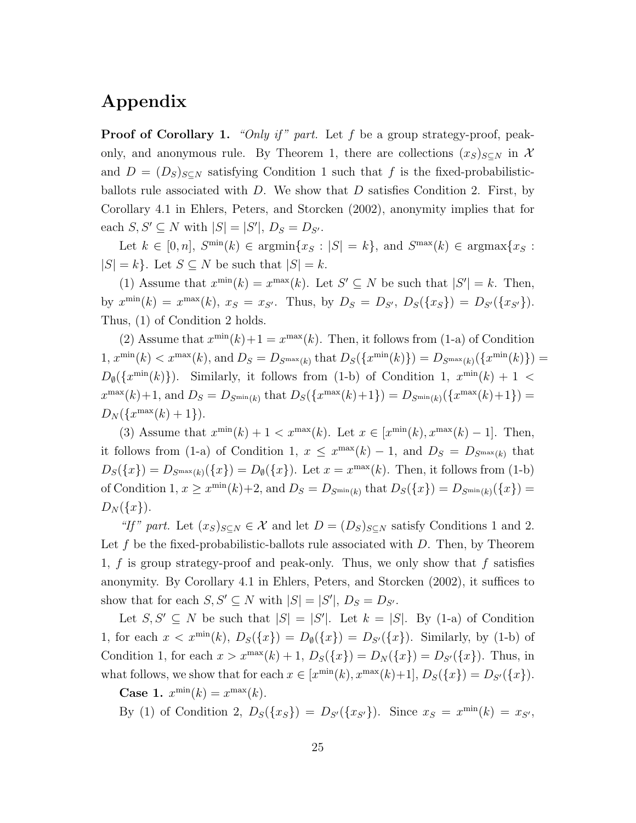# **Appendix**

**Proof of Corollary 1.** *"Only if " part.* Let *f* be a group strategy-proof, peakonly, and anonymous rule. By Theorem 1, there are collections  $(x_S)_{S\subset N}$  in X and  $D = (D_S)_{S \subseteq N}$  satisfying Condition 1 such that f is the fixed-probabilisticballots rule associated with *D*. We show that *D* satisfies Condition 2. First, by Corollary 4.1 in Ehlers, Peters, and Storcken (2002), anonymity implies that for  $\text{each } S, S' \subseteq N \text{ with } |S| = |S'|, D_S = D_{S'}$ .

Let  $k \in [0, n]$ ,  $S^{\min}(k) \in \text{argmin}\{x_S : |S| = k\}$ , and  $S^{\max}(k) \in \text{argmax}\{x_S : S \}$  $|S| = k$ . Let  $S \subseteq N$  be such that  $|S| = k$ .

(1) Assume that  $x^{\min}(k) = x^{\max}(k)$ . Let  $S' \subseteq N$  be such that  $|S'| = k$ . Then, by  $x^{\min}(k) = x^{\max}(k)$ ,  $x_S = x_{S'}$ . Thus, by  $D_S = D_{S'}$ ,  $D_S({x_S}) = D_{S'}({x_{S'}})$ . Thus, (1) of Condition 2 holds.

(2) Assume that  $x^{\min}(k)+1 = x^{\max}(k)$ . Then, it follows from (1-a) of Condition  $1, x^{\min}(k) < x^{\max}(k)$ , and  $D_S = D_{S^{\max}(k)}$  that  $D_S(\{x^{\min}(k)\}) = D_{S^{\max}(k)}(\{x^{\min}(k)\}) =$  $D_{\emptyset}(\lbrace x^{\min}(k) \rbrace)$ . Similarly, it follows from (1-b) of Condition 1,  $x^{\min}(k) + 1$  <  $x^{\max}(k) + 1$ , and  $D_S = D_{S^{\min}(k)}$  that  $D_S(\{x^{\max}(k) + 1\}) = D_{S^{\min}(k)}(\{x^{\max}(k) + 1\}) =$  $D_N(\{x^{\max}(k) + 1\}).$ 

(3) Assume that  $x^{\min}(k) + 1 < x^{\max}(k)$ . Let  $x \in [x^{\min}(k), x^{\max}(k) - 1]$ . Then, it follows from (1-a) of Condition 1,  $x \leq x^{\max}(k) - 1$ , and  $D_S = D_{S^{\max}(k)}$  that  $D_S({x}) = D_{S^{max}(k)}({x}) = D_{\emptyset}({x})$ . Let  $x = x^{\max}(k)$ . Then, it follows from (1-b) of Condition 1,  $x \geq x^{\min}(k)+2$ , and  $D_S = D_{S^{\min}(k)}$  that  $D_S({x}) = D_{S^{\min}(k)}({x})$  $D_N({x}).$ 

*"If"* part. Let  $(x_S)_{S \subseteq N} \in \mathcal{X}$  and let  $D = (D_S)_{S \subseteq N}$  satisfy Conditions 1 and 2. Let f be the fixed-probabilistic-ballots rule associated with D. Then, by Theorem 1, *f* is group strategy-proof and peak-only. Thus, we only show that *f* satisfies anonymity. By Corollary 4.1 in Ehlers, Peters, and Storcken (2002), it suffices to show that for each  $S, S' \subseteq N$  with  $|S| = |S'|$ ,  $D_S = D_{S'}$ .

Let  $S, S' \subseteq N$  be such that  $|S| = |S'|$ . Let  $k = |S|$ . By (1-a) of Condition 1, for each  $x < x^{\min}(k)$ ,  $D_S({x}) = D_{\emptyset}({x}) = D_{S'}({x})$ . Similarly, by (1-b) of Condition 1, for each  $x > x^{\max}(k) + 1$ ,  $D_S({x}) = D_N({x}) = D_{S'}({x})$ . Thus, in what follows, we show that for each  $x \in [x^{\min}(k), x^{\max}(k)+1], D_S(\lbrace x \rbrace) = D_{S'}(\lbrace x \rbrace)$ .

**Case 1.**  $x^{\min}(k) = x^{\max}(k)$ .

By (1) of Condition 2,  $D_S({x_S}) = D_{S'}({x_{S'}})$ . Since  $x_S = x^{\min}(k) = x_{S'}$ ,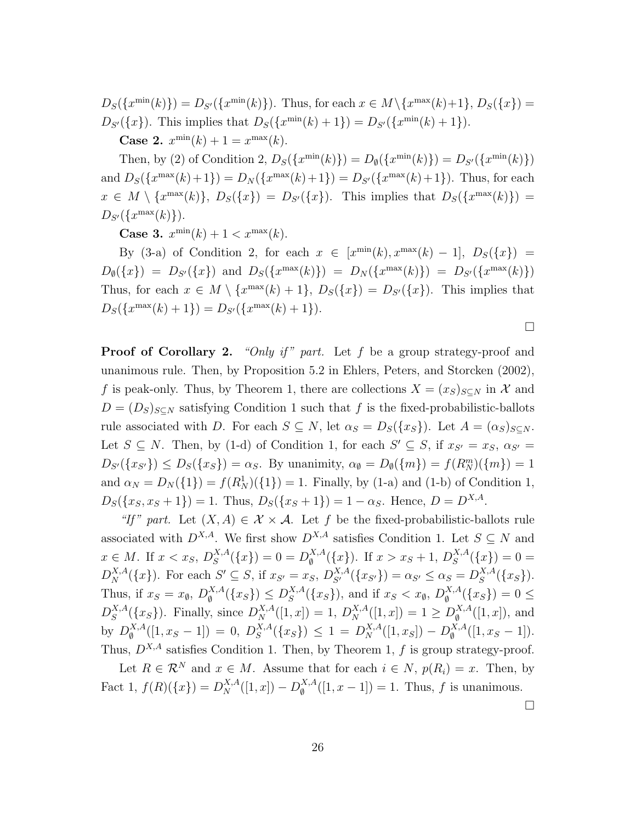$D_S(\{x^{\min}(k)\}) = D_{S'}(\{x^{\min}(k)\})$ . Thus, for each  $x \in M \setminus \{x^{\max}(k)+1\}, D_S(\{x\}) =$ *D*<sub>*S*<sup>′</sup>({*x*</sub>}). This implies that  $D_S(\lbrace x^{\min}(k) + 1 \rbrace) = D_{S'}(\lbrace x^{\min}(k) + 1 \rbrace)$ . **Case 2.**  $x^{\min}(k) + 1 = x^{\max}(k)$ .

Then, by (2) of Condition 2,  $D_S(\{x^{\min}(k)\}) = D_{\emptyset}(\{x^{\min}(k)\}) = D_{S'}(\{x^{\min}(k)\})$ and  $D_S(\lbrace x^{\max}(k)+1 \rbrace) = D_N(\lbrace x^{\max}(k)+1 \rbrace) = D_{S'}(\lbrace x^{\max}(k)+1 \rbrace)$ . Thus, for each  $x \in M \setminus \{x^{\max}(k)\}, D_S(\lbrace x \rbrace) = D_{S'}(\lbrace x \rbrace).$  This implies that  $D_S(\lbrace x^{\max}(k) \rbrace) =$ *D*<sub>*S*<sup>*′*</sup>({*x*<sup>max</sup>(*k*)}).</sub>

**Case 3.**  $x^{\min}(k) + 1 < x^{\max}(k)$ .

By (3-a) of Condition 2, for each  $x \in [x^{\min}(k), x^{\max}(k) - 1], D_S(\lbrace x \rbrace) =$  $D_{\emptyset}(\{x\}) = D_{S'}(\{x\})$  and  $D_S(\{x^{\max}(k)\}) = D_N(\{x^{\max}(k)\}) = D_{S'}(\{x^{\max}(k)\})$ Thus, for each  $x \in M \setminus \{x^{\max}(k) + 1\}$ ,  $D_S(\{x\}) = D_{S'}(\{x\})$ . This implies that  $D_S(\lbrace x^{\max}(k) + 1 \rbrace) = D_{S'}(\lbrace x^{\max}(k) + 1 \rbrace).$ 

 $\Box$ 

**Proof of Corollary 2.** *"Only if" part.* Let f be a group strategy-proof and unanimous rule. Then, by Proposition 5.2 in Ehlers, Peters, and Storcken (2002), *f* is peak-only. Thus, by Theorem 1, there are collections  $X = (x_S)_{S \subseteq N}$  in X and  $D = (D_S)_{S \subseteq N}$  satisfying Condition 1 such that *f* is the fixed-probabilistic-ballots rule associated with *D*. For each  $S \subseteq N$ , let  $\alpha_S = D_S(\lbrace x_S \rbrace)$ . Let  $A = (\alpha_S)_{S \subseteq N}$ . Let  $S \subseteq N$ . Then, by (1-d) of Condition 1, for each  $S' \subseteq S$ , if  $x_{S'} = x_S$ ,  $\alpha_{S'} =$  $D_{S'}(\{x_{S'}\}) \leq D_S(\{x_S\}) = \alpha_S$ . By unanimity,  $\alpha_{\emptyset} = D_{\emptyset}(\{m\}) = f(R_N^m)(\{m\}) = 1$ and  $\alpha_N = D_N({1}) = f(R_N^1)(1) = 1$ . Finally, by (1-a) and (1-b) of Condition 1,  $D_S(\{x_S, x_S + 1\}) = 1$ . Thus,  $D_S(\{x_S + 1\}) = 1 - \alpha_S$ . Hence,  $D = D^{X,A}$ .

*"If" part.* Let  $(X, A) \in \mathcal{X} \times \mathcal{A}$ . Let *f* be the fixed-probabilistic-ballots rule associated with  $D^{X,A}$ . We first show  $D^{X,A}$  satisfies Condition 1. Let  $S \subseteq N$  and *x* ∈ *M*. If *x* < *x<sub>S</sub>*,  $D_S^{X,A}$  $S^{X,A}_{S}(\lbrace x \rbrace) = 0 = D^{X,A}_{\emptyset}$  $\int_{\emptyset}^{X,A} (\{x\})$ . If  $x > x_S + 1$ ,  $D_S^{X,A}$  $S^{A,A}(\{x\}) = 0 =$  $D_N^{X,A}(\{x\})$ . For each  $S' \subseteq S$ , if  $x_{S'} = x_S$ ,  $D_{S'}^{X,A}(\{x_{S'}\}) = \alpha_{S'} \leq \alpha_S = D_S^{X,A}$  $S^{A,A}(\lbrace x_S \rbrace).$ Thus, if  $x_S = x_{\emptyset}$ ,  $D_{\emptyset}^{X,A}$  $\mathcal{L}_{\emptyset}^{X,A}(\{x_S\}) \leq D_S^{X,A}$  $S^{X,A}_{S}(\lbrace x_{S} \rbrace)$ , and if  $x_{S} < x_{\emptyset}$ ,  $D_{\emptyset}^{X,A}$  $\int_{\emptyset}^{X,A} (\{x_S\}) = 0 \leq$  $D_S^{X,A}$  $S^{X,A}_{S}(\{x_S\})$ . Finally, since  $D_N^{X,A}([1,x]) = 1$ ,  $D_N^{X,A}([1,x]) = 1 \geq D_{\emptyset}^{X,A}$  $\binom{X,A}{\emptyset}$  [1, *x*]), and by  $D_{\emptyset}^{X,A}$  $\binom{X, A}{\emptyset}$   $( [1, x_S - 1] ) = 0, D_S^{X, A}$  $S^{X,A}(\lbrace x_S \rbrace) \leq 1 = D^{X,A}_N([1,x_S]) - D^{X,A}_{\emptyset}$  $\int_{\emptyset}^{X,A} ([1, x_S - 1]).$ Thus, *DX,A* satisfies Condition 1. Then, by Theorem 1, *f* is group strategy-proof.

Let  $R \in \mathcal{R}^N$  and  $x \in M$ . Assume that for each  $i \in N$ ,  $p(R_i) = x$ . Then, by  $\text{Fact 1, } f(R)(\{x\}) = D_N^{X,A}([1, x]) - D_{\emptyset}^{X,A}$  $\binom{X,A}{\emptyset}$  ([1, x - 1]) = 1. Thus, f is unanimous.

 $\Box$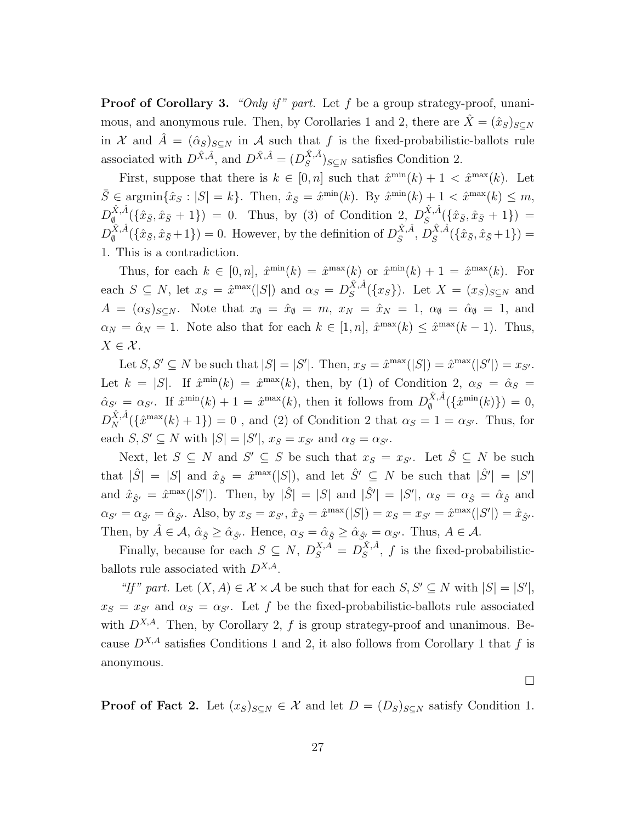**Proof of Corollary 3.** *"Only if" part.* Let f be a group strategy-proof, unanimous, and anonymous rule. Then, by Corollaries 1 and 2, there are  $\hat{X} = (\hat{x}_S)_{S \subseteq N}$ in *X* and  $\hat{A} = (\hat{\alpha}_S)_{S \subset N}$  in *A* such that *f* is the fixed-probabilistic-ballots rule associated with  $D^{\hat{X}, \hat{A}}$ , and  $D^{\hat{X}, \hat{A}} = (D^{\hat{X}, \hat{A}}_{S})$  $(S^{A,A})_{S \subseteq N}$  satisfies Condition 2.

First, suppose that there is  $k \in [0, n]$  such that  $\hat{x}^{\min}(k) + 1 < \hat{x}^{\max}(k)$ . Let  $\bar{S} \in \text{argmin}\{\hat{x}_{S} : |S| = k\}.$  Then,  $\hat{x}_{\bar{S}} = \hat{x}^{\min}(k)$ . By  $\hat{x}^{\min}(k) + 1 < \hat{x}^{\max}(k) \le m$ ,  $D_{\emptyset}^{\hat{X},\hat{A}}$  $(\{\hat{x}_{\bar{S}}, \hat{x}_{\bar{S}} + 1\}) = 0$ . Thus, by (3) of Condition 2,  $D_{\bar{S}}^{\hat{X}, \hat{A}}$  $\frac{X,A}{\bar{S}}(\{\hat{x}_{\bar{S}}, \hat{x}_{\bar{S}}+1\})$  =  $D_{\emptyset}^{\hat{X},\hat{A}}$  $(\hat{X}, \hat{A})$  ( $\{\hat{x}_{\bar{S}}, \hat{x}_{\bar{S}} + 1\}$ ) = 0. However, by the definition of  $D_{\bar{S}}^{\hat{X}, \hat{A}}$  $\frac{\hat{X},\hat{A}}{\bar{S}},\,\tilde{D}\frac{\hat{X},\hat{A}}{\bar{S}}$  $\frac{X}{S}$ <sup>*A*</sup> $(\{\hat{x}_{\bar{S}}, \hat{x}_{\bar{S}}+1\})$  = 1. This is a contradiction.

Thus, for each  $k \in [0, n]$ ,  $\hat{x}^{\min}(k) = \hat{x}^{\max}(k)$  or  $\hat{x}^{\min}(k) + 1 = \hat{x}^{\max}(k)$ . For each  $S \subseteq N$ , let  $x_S = \hat{x}^{\max}(|S|)$  and  $\alpha_S = D_S^{\hat{X}, \hat{A}}$  $S^{X,A}(\lbrace x_S \rbrace)$ . Let  $X = (x_S)_{S \subseteq N}$  and  $A = (\alpha_S)_{S \subseteq N}$ . Note that  $x_{\emptyset} = \hat{x}_{\emptyset} = m$ ,  $x_N = \hat{x}_N = 1$ ,  $\alpha_{\emptyset} = \hat{\alpha}_{\emptyset} = 1$ , and  $\alpha_N = \hat{\alpha}_N = 1$ . Note also that for each  $k \in [1, n]$ ,  $\hat{x}^{\max}(k) \leq \hat{x}^{\max}(k-1)$ . Thus,  $X \in \mathcal{X}$ .

Let  $S, S' \subseteq N$  be such that  $|S| = |S'|$ . Then,  $x_S = \hat{x}^{\max}(|S|) = \hat{x}^{\max}(|S'|) = x_{S'}$ . Let  $k = |S|$ . If  $\hat{x}^{\min}(k) = \hat{x}^{\max}(k)$ , then, by (1) of Condition 2,  $\alpha_S = \hat{\alpha}_S =$  $\hat{\alpha}_{S'} = \alpha_{S'}$ . If  $\hat{x}^{\min}(k) + 1 = \hat{x}^{\max}(k)$ , then it follows from  $D_{\emptyset}^{\hat{X},\hat{A}}$  $\oint_{\emptyset}^{X,A} (\{\hat{x}^{\min}(k)\}) = 0,$  $D_N^{\hat{X},\hat{A}}(\{\hat{x}^{\max}(k)+1\})=0$ , and (2) of Condition 2 that  $\alpha_S=1=\alpha_{S'}$ . Thus, for each  $S, S' \subseteq N$  with  $|S| = |S'|$ ,  $x_S = x_{S'}$  and  $\alpha_S = \alpha_{S'}$ .

Next, let  $S \subseteq N$  and  $S' \subseteq S$  be such that  $x_S = x_{S'}$ . Let  $\hat{S} \subseteq N$  be such that  $|\hat{S}| = |S|$  and  $\hat{x}_{\hat{S}} = \hat{x}^{\max}(|S|)$ , and let  $\hat{S}' \subseteq N$  be such that  $|\hat{S}'| = |S'|$ and  $\hat{x}_{\hat{S}'} = \hat{x}^{\max}(|S'|)$ . Then, by  $|\hat{S}| = |S|$  and  $|\hat{S}'| = |S'|$ ,  $\alpha_S = \alpha_{\hat{S}} = \hat{\alpha}_{\hat{S}}$  and  $\alpha_{S'} = \alpha_{\hat{S}'} = \hat{\alpha}_{\hat{S}'}$ . Also, by  $x_S = x_{S'}$ ,  $\hat{x}_{\hat{S}} = \hat{x}^{\max}(|S|) = x_S = x_{S'} = \hat{x}^{\max}(|S'|) = \hat{x}_{\hat{S}'}$ . Then, by  $\hat{A} \in \mathcal{A}$ ,  $\hat{\alpha}_{\hat{S}} \geq \hat{\alpha}_{\hat{S}'}$ . Hence,  $\alpha_S = \hat{\alpha}_{\hat{S}} \geq \hat{\alpha}_{\hat{S}'} = \alpha_{S'}$ . Thus,  $A \in \mathcal{A}$ .

Finally, because for each  $S \subseteq N$ ,  $D_S^{X,A} = D_S^{\hat{X},\hat{A}}$  $S^{A,A}$ , f is the fixed-probabilisticballots rule associated with *DX,A*.

*"If" part.* Let  $(X, A) \in \mathcal{X} \times \mathcal{A}$  be such that for each  $S, S' \subseteq N$  with  $|S| = |S'|$ ,  $x_S = x_{S'}$  and  $\alpha_S = \alpha_{S'}$ . Let *f* be the fixed-probabilistic-ballots rule associated with  $D^{X,A}$ . Then, by Corollary 2, f is group strategy-proof and unanimous. Because  $D^{X,A}$  satisfies Conditions 1 and 2, it also follows from Corollary 1 that *f* is anonymous.

 $\Box$ 

**Proof of Fact 2.** Let  $(x_S)_{S \subseteq N} \in \mathcal{X}$  and let  $D = (D_S)_{S \subseteq N}$  satisfy Condition 1.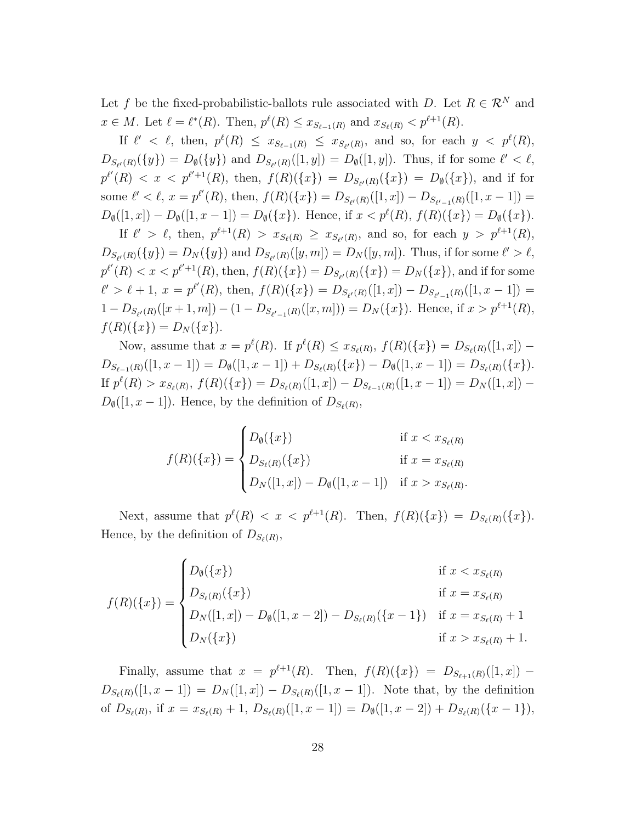Let *f* be the fixed-probabilistic-ballots rule associated with *D*. Let  $R \in \mathbb{R}^N$  and  $x \in M$ . Let  $\ell = \ell^*(R)$ . Then,  $p^{\ell}(R) \le x_{S_{\ell-1}(R)}$  and  $x_{S_{\ell}(R)} < p^{\ell+1}(R)$ .

If  $\ell' < \ell$ , then,  $p^{\ell}(R) \leq x_{S_{\ell-1}(R)} \leq x_{S_{\ell'}(R)}$ , and so, for each  $y < p^{\ell}(R)$ ,  $D_{S_{\ell'}(R)}(\{y\}) = D_{\emptyset}(\{y\})$  and  $D_{S_{\ell'}(R)}([1, y]) = D_{\emptyset}([1, y])$ . Thus, if for some  $\ell' < \ell$ ,  $p^{\ell'}(R) < x < p^{\ell'+1}(R)$ , then,  $f(R)(\{x\}) = D_{S_{\ell'}(R)}(\{x\}) = D_{\emptyset}(\{x\})$ , and if for some  $\ell' < \ell$ ,  $x = p^{\ell'}(R)$ , then,  $f(R)(\{x\}) = D_{S_{\ell'}(R)}([1, x]) - D_{S_{\ell'-1}(R)}([1, x-1]) =$  $D_{\emptyset}([1, x]) - D_{\emptyset}([1, x - 1]) = D_{\emptyset}(\{x\}).$  Hence, if  $x < p^{\ell}(R)$ ,  $f(R)(\{x\}) = D_{\emptyset}(\{x\}).$ 

If  $\ell' > \ell$ , then,  $p^{\ell+1}(R) > x_{S_{\ell}(R)} \ge x_{S_{\ell'}(R)}$ , and so, for each  $y > p^{\ell+1}(R)$ ,  $D_{S_{\ell'}(R)}(\{y\}) = D_N(\{y\})$  and  $D_{S_{\ell'}(R)}([y,m]) = D_N([y,m])$ . Thus, if for some  $\ell' > \ell$ ,  $p^{\ell'}(R) < x < p^{\ell'+1}(R)$ , then,  $f(R)(\{x\}) = D_{S_{\ell'}(R)}(\{x\}) = D_N(\{x\})$ , and if for some  $\ell' > \ell + 1, x = p^{\ell'}(R)$ , then,  $f(R)(\{x\}) = D_{S_{\ell'}(R)}([1, x]) - D_{S_{\ell'-1}(R)}([1, x-1]) =$  $1 - D_{S_{\ell'}(R)}([x+1,m]) - (1 - D_{S_{\ell'-1}(R)}([x,m])) = D_N(\lbrace x \rbrace)$ . Hence, if  $x > p^{\ell+1}(R)$ ,  $f(R)(\{x\}) = D_N(\{x\}).$ 

Now, assume that  $x = p^{\ell}(R)$ . If  $p^{\ell}(R) \le x_{S_{\ell}(R)}, f(R)(\{x\}) = D_{S_{\ell}(R)}([1, x])$  $D_{S_{\ell-1}(R)}([1,x-1]) = D_{\emptyset}([1,x-1]) + D_{S_{\ell}(R)}(\{x\}) - D_{\emptyset}([1,x-1]) = D_{S_{\ell}(R)}(\{x\}).$ If  $p^{\ell}(R) > x_{S_{\ell}(R)}, f(R)(\{x\}) = D_{S_{\ell}(R)}([1, x]) - D_{S_{\ell-1}(R)}([1, x-1]) = D_{N}([1, x]) D_{\emptyset}([1, x-1])$ . Hence, by the definition of  $D_{S_{\ell}(R)}$ ,

$$
f(R)(\{x\}) = \begin{cases} D_{\emptyset}(\{x\}) & \text{if } x < x_{S_{\ell}(R)} \\ D_{S_{\ell}(R)}(\{x\}) & \text{if } x = x_{S_{\ell}(R)} \\ D_N([1, x]) - D_{\emptyset}([1, x - 1]) & \text{if } x > x_{S_{\ell}(R)}.\end{cases}
$$

Next, assume that  $p^{\ell}(R) < x < p^{\ell+1}(R)$ . Then,  $f(R)(\{x\}) = D_{S_{\ell}(R)}(\{x\})$ . Hence, by the definition of  $D_{S_{\ell}(R)}$ ,

$$
f(R)(\{x\}) = \begin{cases} D_{\emptyset}(\{x\}) & \text{if } x < x_{S_{\ell}(R)} \\ D_{S_{\ell}(R)}(\{x\}) & \text{if } x = x_{S_{\ell}(R)} \\ D_{N}([1, x]) - D_{\emptyset}([1, x - 2]) - D_{S_{\ell}(R)}(\{x - 1\}) & \text{if } x = x_{S_{\ell}(R)} + 1 \\ D_{N}(\{x\}) & \text{if } x > x_{S_{\ell}(R)} + 1. \end{cases}
$$

Finally, assume that  $x = p^{\ell+1}(R)$ . Then,  $f(R)(\{x\}) = D_{S_{\ell+1}(R)}([1, x])$  –  $D_{S_{\ell}(R)}([1, x-1]) = D_N([1, x]) - D_{S_{\ell}(R)}([1, x-1])$ . Note that, by the definition of  $D_{S_{\ell}(R)}$ , if  $x = x_{S_{\ell}(R)} + 1$ ,  $D_{S_{\ell}(R)}([1, x - 1]) = D_{\emptyset}([1, x - 2]) + D_{S_{\ell}(R)}(\{x - 1\}),$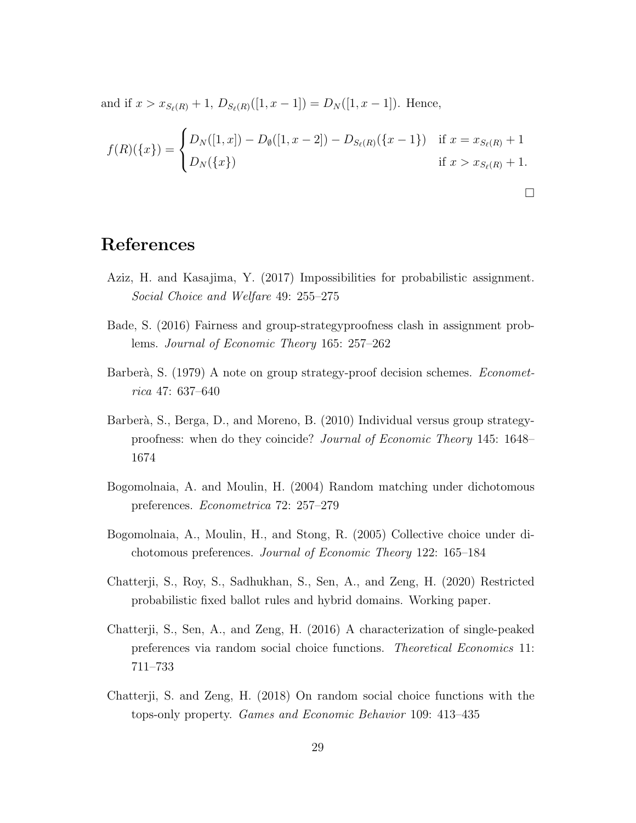and if  $x > x_{S_{\ell}(R)} + 1$ ,  $D_{S_{\ell}(R)}([1, x-1]) = D_{N}([1, x-1])$ . Hence,

$$
f(R)(\{x\}) = \begin{cases} D_N([1, x]) - D_{\emptyset}([1, x - 2]) - D_{S_{\ell}(R)}(\{x - 1\}) & \text{if } x = x_{S_{\ell}(R)} + 1 \\ D_N(\{x\}) & \text{if } x > x_{S_{\ell}(R)} + 1. \end{cases}
$$

 $\Box$ 

#### **References**

- Aziz, H. and Kasajima, Y. (2017) Impossibilities for probabilistic assignment. *Social Choice and Welfare* 49: 255–275
- Bade, S. (2016) Fairness and group-strategyproofness clash in assignment problems. *Journal of Economic Theory* 165: 257–262
- Barberà, S. (1979) A note on group strategy-proof decision schemes. *Econometrica* 47: 637–640
- Barberà, S., Berga, D., and Moreno, B. (2010) Individual versus group strategyproofness: when do they coincide? *Journal of Economic Theory* 145: 1648– 1674
- Bogomolnaia, A. and Moulin, H. (2004) Random matching under dichotomous preferences. *Econometrica* 72: 257–279
- Bogomolnaia, A., Moulin, H., and Stong, R. (2005) Collective choice under dichotomous preferences. *Journal of Economic Theory* 122: 165–184
- Chatterji, S., Roy, S., Sadhukhan, S., Sen, A., and Zeng, H. (2020) Restricted probabilistic fixed ballot rules and hybrid domains. Working paper.
- Chatterji, S., Sen, A., and Zeng, H. (2016) A characterization of single-peaked preferences via random social choice functions. *Theoretical Economics* 11: 711–733
- Chatterji, S. and Zeng, H. (2018) On random social choice functions with the tops-only property. *Games and Economic Behavior* 109: 413–435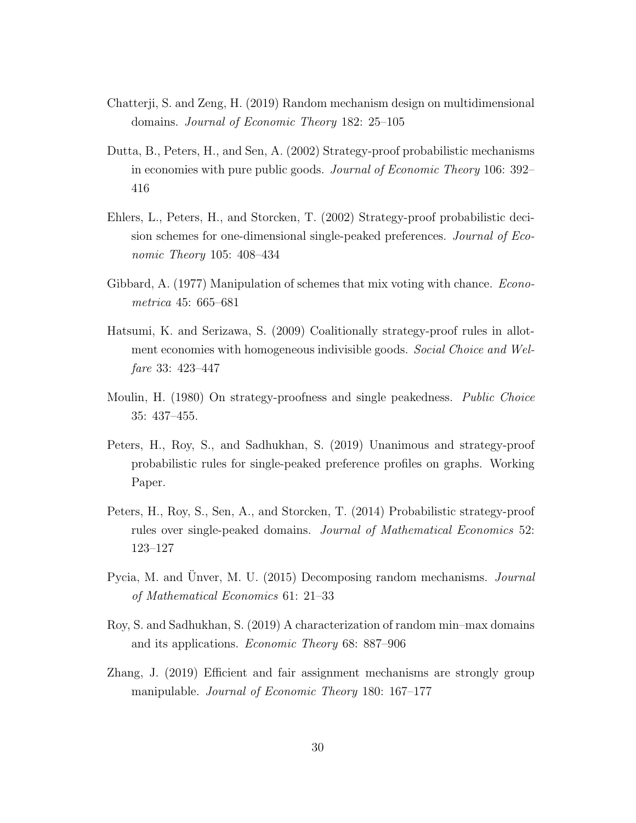- Chatterji, S. and Zeng, H. (2019) Random mechanism design on multidimensional domains. *Journal of Economic Theory* 182: 25–105
- Dutta, B., Peters, H., and Sen, A. (2002) Strategy-proof probabilistic mechanisms in economies with pure public goods. *Journal of Economic Theory* 106: 392– 416
- Ehlers, L., Peters, H., and Storcken, T. (2002) Strategy-proof probabilistic decision schemes for one-dimensional single-peaked preferences. *Journal of Economic Theory* 105: 408–434
- Gibbard, A. (1977) Manipulation of schemes that mix voting with chance. *Econometrica* 45: 665–681
- Hatsumi, K. and Serizawa, S. (2009) Coalitionally strategy-proof rules in allotment economies with homogeneous indivisible goods. *Social Choice and Welfare* 33: 423–447
- Moulin, H. (1980) On strategy-proofness and single peakedness. *Public Choice* 35: 437–455.
- Peters, H., Roy, S., and Sadhukhan, S. (2019) Unanimous and strategy-proof probabilistic rules for single-peaked preference profiles on graphs. Working Paper.
- Peters, H., Roy, S., Sen, A., and Storcken, T. (2014) Probabilistic strategy-proof rules over single-peaked domains. *Journal of Mathematical Economics* 52: 123–127
- Pycia, M. and Unver, M. U. (2015) Decomposing random mechanisms. *Journal of Mathematical Economics* 61: 21–33
- Roy, S. and Sadhukhan, S. (2019) A characterization of random min–max domains and its applications. *Economic Theory* 68: 887–906
- Zhang, J. (2019) Efficient and fair assignment mechanisms are strongly group manipulable. *Journal of Economic Theory* 180: 167–177